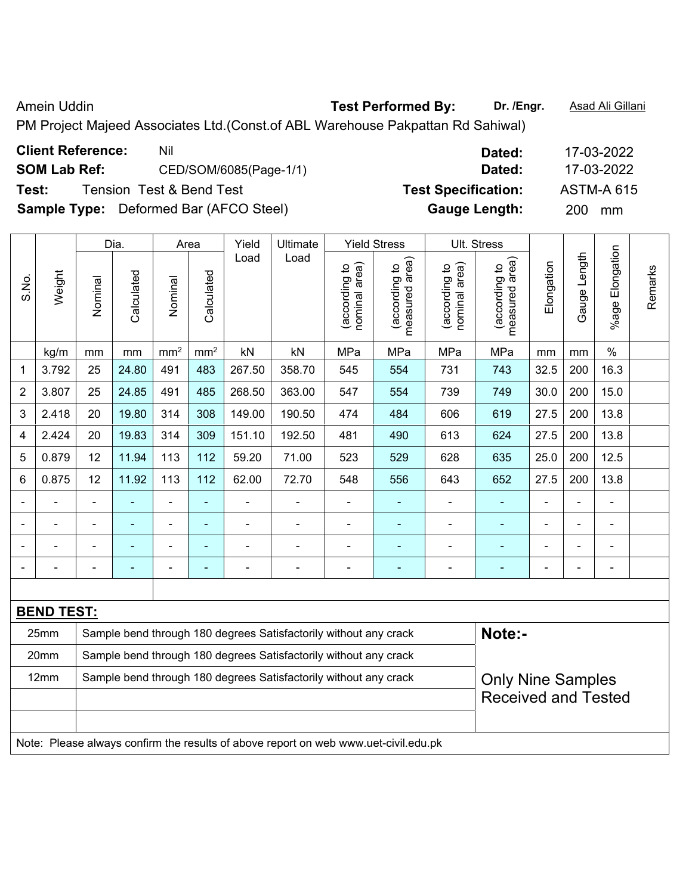Amein Uddin **Test Performed By:** Dr. /Engr. **Asad Ali Gillani** Amein Uddin **Matter Communist Communist Communist Communist Communist Communist Communist Communist Communist Communist Communist Communist Communist Communist** 

PM Project Majeed Associates Ltd.(Const.of ABL Warehouse Pakpattan Rd Sahiwal)

| <b>Client Reference:</b> | Nil                                           | Dated:                     | 17-03-2022        |
|--------------------------|-----------------------------------------------|----------------------------|-------------------|
| <b>SOM Lab Ref:</b>      | CED/SOM/6085(Page-1/1)                        | Dated:                     | 17-03-2022        |
| Test:                    | Tension Test & Bend Test                      | <b>Test Specification:</b> | <b>ASTM-A 615</b> |
|                          | <b>Sample Type:</b> Deformed Bar (AFCO Steel) | <b>Gauge Length:</b>       | <b>200</b><br>mm  |

|                |                   |                | Dia.                     |                 | Area                     | Yield                    | Ultimate                                                         |                                | <b>Yield Stress</b>             |                                | Ult. Stress                     |            |                |                      |         |
|----------------|-------------------|----------------|--------------------------|-----------------|--------------------------|--------------------------|------------------------------------------------------------------|--------------------------------|---------------------------------|--------------------------------|---------------------------------|------------|----------------|----------------------|---------|
| S.No.          | Weight            | Nominal        | Calculated               | Nominal         | Calculated               | Load                     | Load                                                             | nominal area)<br>(according to | measured area)<br>(according to | (according to<br>nominal area) | measured area)<br>(according to | Elongation | Gauge Length   | Elongation<br>%age I | Remarks |
|                | kg/m              | mm             | mm                       | mm <sup>2</sup> | mm <sup>2</sup>          | kN                       | kN                                                               | MPa                            | MPa                             | MPa                            | MPa                             | mm         | mm             | $\%$                 |         |
| 1              | 3.792             | 25             | 24.80                    | 491             | 483                      | 267.50                   | 358.70                                                           | 545                            | 554                             | 731                            | 743                             | 32.5       | 200            | 16.3                 |         |
| $\overline{2}$ | 3.807             | 25             | 24.85                    | 491             | 485                      | 268.50                   | 363.00                                                           | 547                            | 554                             | 739                            | 749                             | 30.0       | 200            | 15.0                 |         |
| 3              | 2.418             | 20             | 19.80                    | 314             | 308                      | 149.00                   | 190.50                                                           | 474                            | 484                             | 606                            | 619                             | 27.5       | 200            | 13.8                 |         |
| 4              | 2.424             | 20             | 19.83                    | 314             | 309                      | 151.10                   | 192.50                                                           | 481                            | 490                             | 613                            | 624                             | 27.5       | 200            | 13.8                 |         |
| 5              | 0.879             | 12             | 11.94                    | 113             | 112                      | 59.20                    | 71.00                                                            | 523                            | 529                             | 628                            | 635                             | 25.0       | 200            | 12.5                 |         |
| 6              | 0.875             | 12             | 11.92                    | 113             | 112                      | 62.00                    | 72.70                                                            | 548                            | 556                             | 643                            | 652                             | 27.5       | 200            | 13.8                 |         |
|                | ۰                 | $\blacksquare$ | $\blacksquare$           | $\blacksquare$  | $\overline{\phantom{0}}$ | $\blacksquare$           |                                                                  | $\blacksquare$                 |                                 |                                |                                 |            | $\blacksquare$ | $\blacksquare$       |         |
|                |                   |                | $\blacksquare$           | $\blacksquare$  | ۰                        |                          |                                                                  | $\blacksquare$                 |                                 |                                |                                 |            | -              | $\blacksquare$       |         |
|                |                   |                | $\overline{\phantom{0}}$ | $\blacksquare$  | $\overline{\phantom{0}}$ |                          |                                                                  | -                              |                                 |                                |                                 |            | $\blacksquare$ | -                    |         |
|                |                   |                |                          | $\blacksquare$  | $\overline{\phantom{0}}$ | $\overline{\phantom{0}}$ |                                                                  | -                              |                                 |                                | $\overline{\phantom{0}}$        |            | -              | $\blacksquare$       |         |
|                |                   |                |                          |                 |                          |                          |                                                                  |                                |                                 |                                |                                 |            |                |                      |         |
|                | <b>BEND TEST:</b> |                |                          |                 |                          |                          |                                                                  |                                |                                 |                                |                                 |            |                |                      |         |
|                | 25mm              |                |                          |                 |                          |                          | Sample bend through 180 degrees Satisfactorily without any crack |                                |                                 | Note:-                         |                                 |            |                |                      |         |
|                | 20mm              |                |                          |                 |                          |                          | Sample bend through 180 degrees Satisfactorily without any crack |                                |                                 |                                |                                 |            |                |                      |         |
|                | 12mm              |                |                          |                 |                          |                          | Sample bend through 180 degrees Satisfactorily without any crack |                                |                                 |                                | <b>Only Nine Samples</b>        |            |                |                      |         |
|                |                   |                |                          |                 |                          |                          |                                                                  | <b>Received and Tested</b>     |                                 |                                |                                 |            |                |                      |         |

Note: Please always confirm the results of above report on web www.uet-civil.edu.pk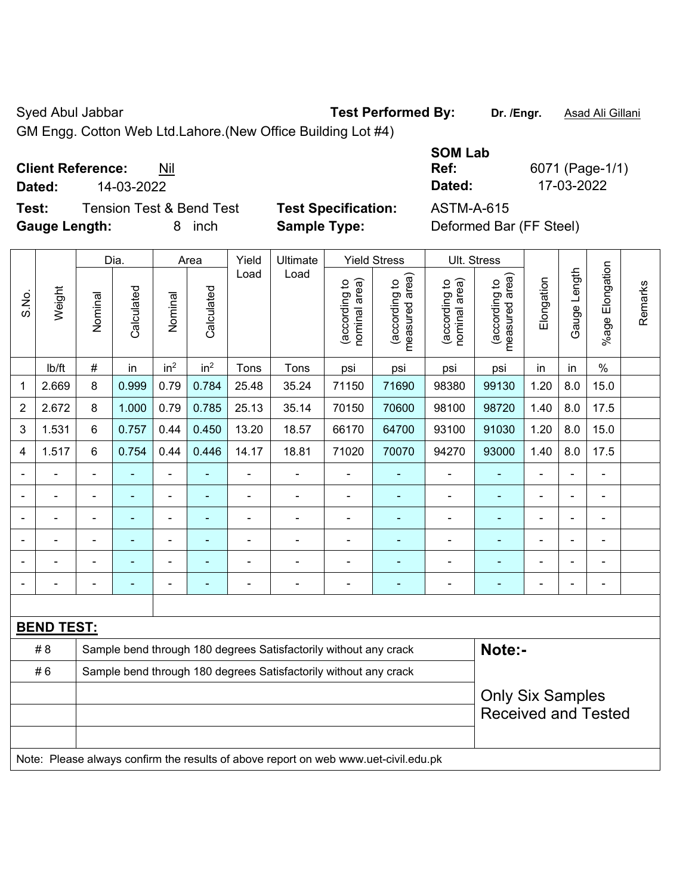Syed Abul Jabbar **Test Performed By:** Dr. /Engr. **Asad Ali Gillani** Cycle Abul Jabbar

GM Engg. Cotton Web Ltd.Lahore.(New Office Building Lot #4)

# **Client Reference:** Nil

**Test:** Tension Test & Bend Test **Test Specification:** ASTM-A-615 **Gauge Length:** 8 inch **Sample Type:** Deformed Bar (FF Steel)

|                   |                                 |                            | <b>SOM Lab</b> |                 |
|-------------------|---------------------------------|----------------------------|----------------|-----------------|
|                   | <b>Client Reference:</b><br>Nil |                            | Ref:           | 6071 (Page-1/1) |
| Dated:            | 14-03-2022                      |                            | Dated:         | 17-03-2022      |
| Test <sup>.</sup> | Tension Test & Rend Test.       | <b>Test Specification:</b> | $ASTM-A-615$   |                 |

|                |                   | Dia.                                                             |                          |                          | Area            | Yield          | Ultimate                                                                            |                                | <b>Yield Stress</b>             |                                | <b>Ult. Stress</b>                          |                |              |                          |         |
|----------------|-------------------|------------------------------------------------------------------|--------------------------|--------------------------|-----------------|----------------|-------------------------------------------------------------------------------------|--------------------------------|---------------------------------|--------------------------------|---------------------------------------------|----------------|--------------|--------------------------|---------|
| S.No.          | Weight            | Nominal                                                          | Calculated               | Nominal                  | Calculated      | Load           | Load                                                                                | nominal area)<br>(according to | (according to<br>measured area) | (according to<br>nominal area) | (according to<br>measured area)<br>measured | Elongation     | Gauge Length | Elongation<br>$%$ age    | Remarks |
|                | lb/ft             | #                                                                | in                       | in <sup>2</sup>          | in <sup>2</sup> | Tons           | Tons                                                                                | psi                            | psi                             | psi                            | psi                                         | in             | in           | $\%$                     |         |
| 1              | 2.669             | 8                                                                | 0.999                    | 0.79                     | 0.784           | 25.48          | 35.24                                                                               | 71150                          | 71690                           | 98380                          | 99130                                       | 1.20           | 8.0          | 15.0                     |         |
| $\overline{2}$ | 2.672             | 8                                                                | 1.000                    | 0.79                     | 0.785           | 25.13          | 35.14                                                                               | 70150                          | 70600                           | 98100                          | 98720                                       | 1.40           | 8.0          | 17.5                     |         |
| 3              | 1.531             | 6                                                                | 0.757                    | 0.44                     | 0.450           | 13.20          | 18.57                                                                               | 66170                          | 64700                           | 93100                          | 91030                                       | 1.20           | 8.0          | 15.0                     |         |
| 4              | 1.517             | 6                                                                | 0.754                    | 0.44                     | 0.446           | 14.17          | 18.81                                                                               | 71020                          | 70070                           | 94270                          | 93000                                       | 1.40           | 8.0          | 17.5                     |         |
|                |                   |                                                                  |                          |                          |                 |                | $\blacksquare$                                                                      | L,                             | $\blacksquare$                  |                                |                                             |                |              | $\blacksquare$           |         |
| $\blacksquare$ | $\blacksquare$    | $\blacksquare$                                                   | $\blacksquare$           | $\overline{a}$           | $\blacksquare$  | $\blacksquare$ | $\overline{\phantom{a}}$                                                            | $\overline{\phantom{a}}$       | $\blacksquare$                  | ÷                              | $\blacksquare$                              | $\blacksquare$ |              | $\blacksquare$           |         |
|                | $\blacksquare$    | $\blacksquare$                                                   | $\blacksquare$           | $\blacksquare$           | ٠               | ä,             | $\blacksquare$                                                                      | $\blacksquare$                 | $\blacksquare$                  | $\blacksquare$                 | ä,                                          | ä,             |              | $\blacksquare$           |         |
|                |                   |                                                                  |                          |                          |                 | ÷              | $\blacksquare$                                                                      | Ē,                             |                                 | -                              |                                             |                |              | $\blacksquare$           |         |
|                |                   |                                                                  |                          |                          |                 |                | $\blacksquare$                                                                      | Ē,                             |                                 | $\blacksquare$                 |                                             |                |              | Ē,                       |         |
| ۰              |                   | $\qquad \qquad \blacksquare$                                     | $\overline{\phantom{0}}$ | $\overline{\phantom{a}}$ | $\overline{a}$  | $\blacksquare$ | $\blacksquare$                                                                      | $\blacksquare$                 | ۰                               | $\overline{a}$                 | $\blacksquare$                              | $\overline{a}$ |              | $\overline{\phantom{a}}$ |         |
|                |                   |                                                                  |                          |                          |                 |                |                                                                                     |                                |                                 |                                |                                             |                |              |                          |         |
|                | <b>BEND TEST:</b> |                                                                  |                          |                          |                 |                |                                                                                     |                                |                                 |                                |                                             |                |              |                          |         |
|                | # 8               | Sample bend through 180 degrees Satisfactorily without any crack |                          |                          |                 |                |                                                                                     |                                |                                 |                                | Note:-                                      |                |              |                          |         |
|                | #6                |                                                                  |                          |                          |                 |                | Sample bend through 180 degrees Satisfactorily without any crack                    |                                |                                 |                                |                                             |                |              |                          |         |
|                |                   |                                                                  |                          |                          |                 |                |                                                                                     |                                |                                 |                                | <b>Only Six Samples</b>                     |                |              |                          |         |
|                |                   |                                                                  |                          |                          |                 |                |                                                                                     |                                |                                 |                                | <b>Received and Tested</b>                  |                |              |                          |         |
|                |                   |                                                                  |                          |                          |                 |                |                                                                                     |                                |                                 |                                |                                             |                |              |                          |         |
|                |                   |                                                                  |                          |                          |                 |                | Note: Please always confirm the results of above report on web www.uet-civil.edu.pk |                                |                                 |                                |                                             |                |              |                          |         |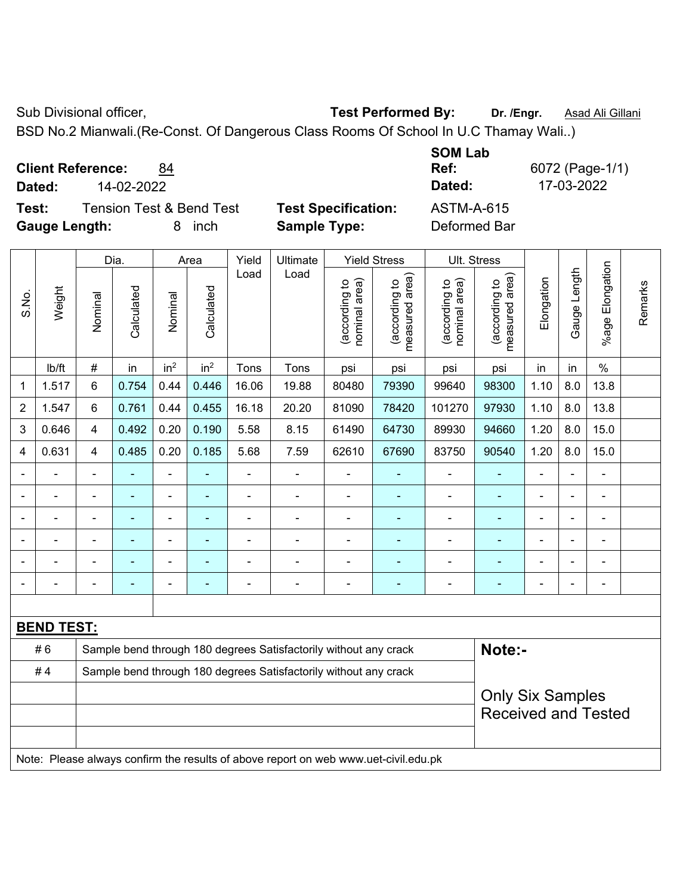Sub Divisional officer, **Test Performed By:** Dr. /Engr. **Asad Ali Gillani** Collection Association Association Association Association Association Association Association Association Association Association Association Asso

BSD No.2 Mianwali.(Re-Const. Of Dangerous Class Rooms Of School In U.C Thamay Wali..)

### **Client Reference:** 84

**Dated:** 14-02-2022 **Dated:** 17-03-2022

**Test:** Tension Test & Bend Test **Test Specification:** ASTM-A-615 **Gauge Length:** 8 inch **Sample Type:** Deformed Bar

**SOM Lab** 

**Ref:** 6072 (Page-1/1)

|                |                   |                                                                                     | Dia.           |                          | Area                     | Yield          | Ultimate       |                                | <b>Yield Stress</b>             | Ult. Stress                    |                                 |                |                |                       |         |  |
|----------------|-------------------|-------------------------------------------------------------------------------------|----------------|--------------------------|--------------------------|----------------|----------------|--------------------------------|---------------------------------|--------------------------------|---------------------------------|----------------|----------------|-----------------------|---------|--|
| S.No.          | Weight            | Nominal                                                                             | Calculated     | Nominal                  | Calculated               | Load           | Load           | nominal area)<br>(according to | measured area)<br>(according to | nominal area)<br>(according to | (according to<br>measured area) | Elongation     | Gauge Length   | Elongation<br>$%$ age | Remarks |  |
|                | Ib/ft             | $\#$                                                                                | in             | in <sup>2</sup>          | in <sup>2</sup>          | Tons           | Tons           | psi                            | psi                             | psi                            | psi                             | in             | in             | $\%$                  |         |  |
| 1              | 1.517             | 6                                                                                   | 0.754          | 0.44                     | 0.446                    | 16.06          | 19.88          | 80480                          | 79390                           | 99640                          | 98300                           | 1.10           | 8.0            | 13.8                  |         |  |
| $\overline{2}$ | 1.547             | 6                                                                                   | 0.761          | 0.44                     | 0.455                    | 16.18          | 20.20          | 81090                          | 78420                           | 101270                         | 97930                           | 1.10           | 8.0            | 13.8                  |         |  |
| 3              | 0.646             | 4                                                                                   | 0.492          | 0.20                     | 0.190                    | 5.58           | 8.15           | 61490                          | 64730                           | 89930                          | 94660                           | 1.20           | 8.0            | 15.0                  |         |  |
| 4              | 0.631             | 4                                                                                   | 0.485          | 0.20                     | 0.185                    | 5.68           | 7.59           | 62610                          | 67690                           | 83750                          | 90540                           | 1.20           | 8.0            | 15.0                  |         |  |
|                | $\blacksquare$    | $\blacksquare$                                                                      | ÷,             | $\blacksquare$           |                          | $\blacksquare$ | ÷,             | $\blacksquare$                 |                                 | Ē,                             | $\blacksquare$                  | $\blacksquare$ |                | $\blacksquare$        |         |  |
|                | $\blacksquare$    | $\blacksquare$                                                                      | ÷,             | ÷                        | $\blacksquare$           | ä,             | ä,             | ä,                             | $\blacksquare$                  | $\blacksquare$                 | ÷.                              |                | $\blacksquare$ |                       |         |  |
|                |                   |                                                                                     | $\blacksquare$ | $\blacksquare$           |                          | Ē,             | $\blacksquare$ |                                | $\blacksquare$                  | $\blacksquare$                 | ä,                              |                | ä,             |                       |         |  |
|                |                   |                                                                                     |                |                          |                          |                |                |                                |                                 |                                |                                 |                |                |                       |         |  |
|                |                   |                                                                                     |                |                          |                          |                |                | $\blacksquare$                 |                                 | $\blacksquare$                 |                                 |                |                |                       |         |  |
| ۰              | ۰                 | $\blacksquare$                                                                      | $\blacksquare$ | $\overline{\phantom{0}}$ | $\overline{\phantom{0}}$ |                | $\blacksquare$ | $\blacksquare$                 | $\blacksquare$                  | $\blacksquare$                 | $\blacksquare$                  | -              | $\blacksquare$ | ÷                     |         |  |
|                |                   |                                                                                     |                |                          |                          |                |                |                                |                                 |                                |                                 |                |                |                       |         |  |
|                | <b>BEND TEST:</b> |                                                                                     |                |                          |                          |                |                |                                |                                 |                                |                                 |                |                |                       |         |  |
|                | #6                | Sample bend through 180 degrees Satisfactorily without any crack                    |                |                          |                          |                |                |                                |                                 |                                | Note:-                          |                |                |                       |         |  |
|                | #4                | Sample bend through 180 degrees Satisfactorily without any crack                    |                |                          |                          |                |                |                                |                                 |                                |                                 |                |                |                       |         |  |
|                |                   |                                                                                     |                |                          |                          |                |                |                                |                                 |                                | <b>Only Six Samples</b>         |                |                |                       |         |  |
|                |                   |                                                                                     |                |                          |                          |                |                |                                | <b>Received and Tested</b>      |                                |                                 |                |                |                       |         |  |
|                |                   | Note: Please always confirm the results of above report on web www.uet-civil.edu.pk |                |                          |                          |                |                |                                |                                 |                                |                                 |                |                |                       |         |  |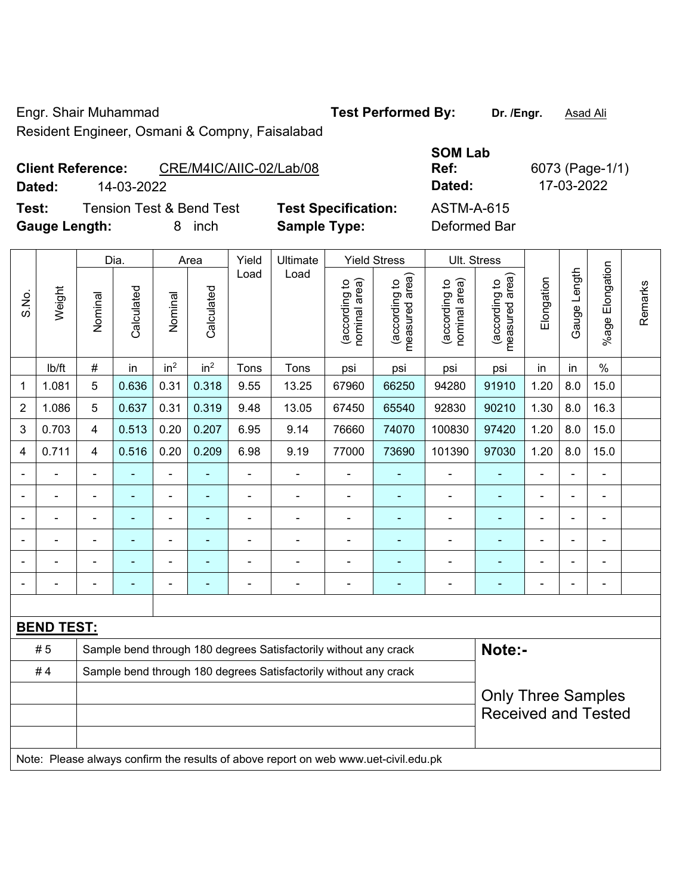Engr. Shair Muhammad **Test Performed By: Dr. /Engr.** Asad Ali

Resident Engineer, Osmani & Compny, Faisalabad

| <b>Client Reference:</b> |            | CRE/M4IC/AIIC-02/Lab/08 |
|--------------------------|------------|-------------------------|
| Dated:                   | 14-03-2022 |                         |

**Test:** Tension Test & Bend Test **Test Specification:** ASTM-A-615 **Gauge Length:** 8 inch **Sample Type:** Deformed Bar

**SOM Lab Ref:** 6073 (Page-1/1) **Dated: 17-03-2022** 

|                |                   |                                                                  | Dia.           |                 | Area            | Yield                    | Ultimate                                                         |                                | <b>Yield Stress</b>                | Ult. Stress                    |                                 |                          |                |                          |         |
|----------------|-------------------|------------------------------------------------------------------|----------------|-----------------|-----------------|--------------------------|------------------------------------------------------------------|--------------------------------|------------------------------------|--------------------------------|---------------------------------|--------------------------|----------------|--------------------------|---------|
| S.No.          | Weight            | Nominal                                                          | Calculated     | Nominal         | Calculated      | Load                     | Load                                                             | nominal area)<br>(according to | area)<br>(according to<br>measured | nominal area)<br>(according to | measured area)<br>(according to | Elongation               | Gauge Length   | Elongation<br>$%$ age    | Remarks |
|                | lb/ft             | $\#$                                                             | in             | in <sup>2</sup> | in <sup>2</sup> | Tons                     | Tons                                                             | psi                            | psi                                | psi                            | psi                             | in                       | in             | $\%$                     |         |
| 1              | 1.081             | 5                                                                | 0.636          | 0.31            | 0.318           | 9.55                     | 13.25                                                            | 67960                          | 66250                              | 94280                          | 91910                           | 1.20                     | 8.0            | 15.0                     |         |
| $\overline{2}$ | 1.086             | 5                                                                | 0.637          | 0.31            | 0.319           | 9.48                     | 13.05                                                            | 67450                          | 65540                              | 92830                          | 90210                           | 1.30                     | 8.0            | 16.3                     |         |
| 3              | 0.703             | $\overline{4}$                                                   | 0.513          | 0.20            | 0.207           | 6.95                     | 9.14                                                             | 76660                          | 74070                              | 100830                         | 97420                           | 1.20                     | 8.0            | 15.0                     |         |
| 4              | 0.711             | $\overline{4}$                                                   | 0.516          | 0.20            | 0.209           | 6.98                     | 9.19                                                             | 77000                          | 73690                              | 101390                         | 97030                           | 1.20                     | 8.0            | 15.0                     |         |
| $\blacksquare$ |                   | $\blacksquare$                                                   | $\blacksquare$ | ÷               |                 | $\blacksquare$           | $\frac{1}{2}$                                                    | $\blacksquare$                 |                                    | $\blacksquare$                 | ٠                               | $\blacksquare$           | $\blacksquare$ | $\frac{1}{2}$            |         |
| $\overline{a}$ |                   | $\overline{a}$                                                   | ٠              | $\overline{a}$  | $\overline{a}$  | $\overline{\phantom{0}}$ | $\qquad \qquad \blacksquare$                                     | $\blacksquare$                 | $\overline{\phantom{a}}$           | $\overline{a}$                 | ٠                               | $\overline{a}$           | $\blacksquare$ | $\overline{\phantom{0}}$ |         |
|                |                   |                                                                  | ä,             | $\blacksquare$  |                 |                          |                                                                  |                                |                                    |                                |                                 |                          |                |                          |         |
|                |                   |                                                                  |                | ۰               |                 |                          | $\overline{a}$                                                   |                                |                                    |                                |                                 |                          |                |                          |         |
| $\overline{a}$ |                   | $\overline{a}$                                                   | $\blacksquare$ | $\overline{a}$  | $\overline{a}$  |                          | $\blacksquare$                                                   |                                | $\overline{\phantom{a}}$           | $\overline{a}$                 | $\blacksquare$                  |                          | ٠              | $\overline{\phantom{0}}$ |         |
| $\blacksquare$ |                   | $\blacksquare$                                                   | $\blacksquare$ | ۰               |                 | $\blacksquare$           | $\blacksquare$                                                   | ٠                              | $\overline{\phantom{a}}$           | $\overline{a}$                 | $\blacksquare$                  | $\overline{\phantom{0}}$ | ٠              | $\blacksquare$           |         |
|                |                   |                                                                  |                |                 |                 |                          |                                                                  |                                |                                    |                                |                                 |                          |                |                          |         |
|                | <b>BEND TEST:</b> |                                                                  |                |                 |                 |                          |                                                                  |                                |                                    |                                |                                 |                          |                |                          |         |
|                | #5                | Sample bend through 180 degrees Satisfactorily without any crack |                |                 |                 |                          |                                                                  |                                |                                    |                                | Note:-                          |                          |                |                          |         |
|                | #4                |                                                                  |                |                 |                 |                          | Sample bend through 180 degrees Satisfactorily without any crack |                                |                                    |                                |                                 |                          |                |                          |         |
|                |                   |                                                                  |                |                 |                 |                          |                                                                  |                                |                                    |                                | <b>Only Three Samples</b>       |                          |                |                          |         |
|                |                   |                                                                  |                |                 |                 |                          |                                                                  |                                |                                    |                                | <b>Received and Tested</b>      |                          |                |                          |         |
|                |                   |                                                                  |                |                 |                 |                          |                                                                  |                                |                                    |                                |                                 |                          |                |                          |         |

Note: Please always confirm the results of above report on web www.uet-civil.edu.pk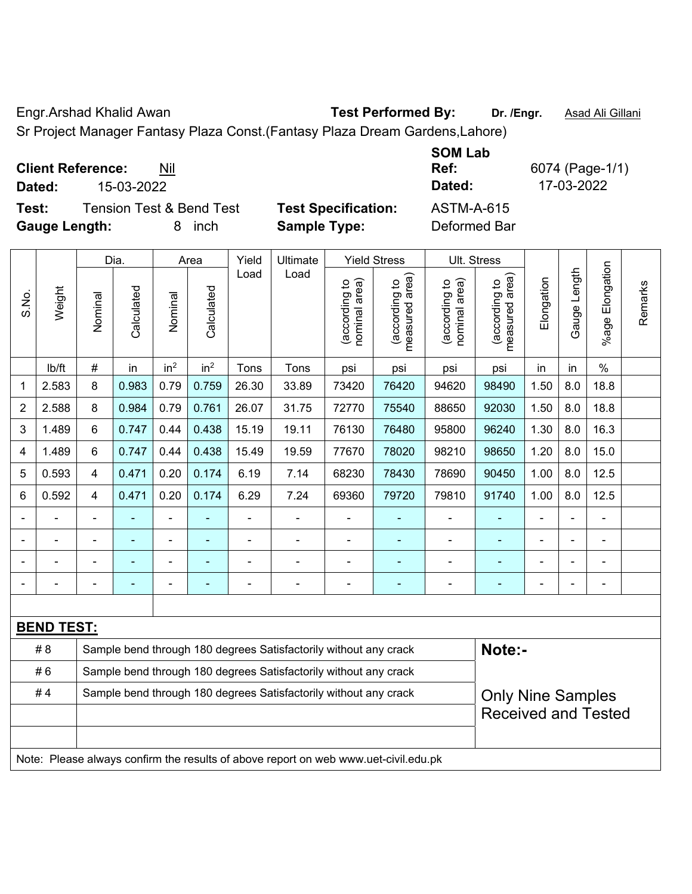Engr.Arshad Khalid Awan **Test Performed By: Dr. /Engr.** Asad Ali Gillani

Sr Project Manager Fantasy Plaza Const.(Fantasy Plaza Dream Gardens,Lahore)

**Client Reference:** Nil

**Dated:** 15-03-2022 **Dated:** 17-03-2022

**Test:** Tension Test & Bend Test **Test Specification:** ASTM-A-615

**Ref:** 6074 (Page-1/1)

**SOM Lab** 

| <b>Gauge Length:</b> |        |         |            | 8               | inch            |       | <b>Sample Type:</b> |                                       |                                          | Deformed Bar                        |                                      |  |  |
|----------------------|--------|---------|------------|-----------------|-----------------|-------|---------------------|---------------------------------------|------------------------------------------|-------------------------------------|--------------------------------------|--|--|
|                      |        |         | Dia.       |                 | Area            | Yield | Ultimate            |                                       | <b>Yield Stress</b>                      |                                     | Ult. Stress                          |  |  |
| S.No.                | Weight | Nominal | Calculated | Nominal         | Calculated      | Load  | Load                | area)<br>್ರೆ<br>(according<br>nominal | rea)<br>요<br>(according<br>ω<br>measured | area)<br>đ<br>(according<br>nominal | area)<br>요<br>(according<br>measured |  |  |
|                      | lb/ft  | #       | in         | in <sup>2</sup> | in <sup>2</sup> | Tons  | Tons                | psi                                   | psi                                      | psi                                 | psi                                  |  |  |
| 1                    | 2.583  | 8       | 0.983      | 0.79            | 0.759           | 26.30 | 33.89               | 73420                                 | 76420                                    | 94620                               | 98490                                |  |  |
|                      |        |         |            |                 |                 |       |                     |                                       |                                          |                                     |                                      |  |  |

|                |                   | Dia.<br>Area<br>Yield<br>Ultimate<br>Yield Stress<br>UII. Stress |                |                 |                 |                |                                                                                     |                                |                                             |                                |                                    |                |              |                    |         |
|----------------|-------------------|------------------------------------------------------------------|----------------|-----------------|-----------------|----------------|-------------------------------------------------------------------------------------|--------------------------------|---------------------------------------------|--------------------------------|------------------------------------|----------------|--------------|--------------------|---------|
| S.No.          | Weight            | Nominal                                                          | Calculated     | Nominal         | Calculated      | Load           | Load                                                                                | nominal area)<br>(according to | (according to<br>neasured area)<br>measured | nominal area)<br>(according to | area)<br>(according to<br>measured | Elongation     | Gauge Length | Elongation<br>%age | Remarks |
|                | Ib/ft             | $\#$                                                             | in             | in <sup>2</sup> | in <sup>2</sup> | Tons           | Tons                                                                                | psi                            | psi                                         | psi                            | psi                                | in             | in           | $\%$               |         |
| 1              | 2.583             | 8                                                                | 0.983          | 0.79            | 0.759           | 26.30          | 33.89                                                                               | 73420                          | 76420                                       | 94620                          | 98490                              | 1.50           | 8.0          | 18.8               |         |
| $\overline{2}$ | 2.588             | 8                                                                | 0.984          | 0.79            | 0.761           | 26.07          | 31.75                                                                               | 72770                          | 75540                                       | 88650                          | 92030                              | 1.50           | 8.0          | 18.8               |         |
| 3              | 1.489             | $\,6\,$                                                          | 0.747          | 0.44            | 0.438           | 15.19          | 19.11                                                                               | 76130                          | 76480                                       | 95800                          | 96240                              | 1.30           | 8.0          | 16.3               |         |
| $\overline{4}$ | 1.489             | 6                                                                | 0.747          | 0.44            | 0.438           | 15.49          | 19.59                                                                               | 77670                          | 78020                                       | 98210                          | 98650                              | 1.20           | 8.0          | 15.0               |         |
| 5              | 0.593             | 4                                                                | 0.471          | 0.20            | 0.174           | 6.19           | 7.14                                                                                | 68230                          | 78430                                       | 78690                          | 90450                              | 1.00           | 8.0          | 12.5               |         |
| 6              | 0.592             | $\overline{\mathbf{4}}$                                          | 0.471          | 0.20            | 0.174           | 6.29           | 7.24                                                                                | 69360                          | 79720                                       | 79810                          | 91740                              | 1.00           | 8.0          | 12.5               |         |
|                |                   |                                                                  |                | $\overline{a}$  |                 | $\blacksquare$ | ÷,                                                                                  | $\blacksquare$                 |                                             | ÷                              | $\blacksquare$                     | ä,             | ÷            | ÷,                 |         |
|                |                   |                                                                  | $\blacksquare$ | ÷,              | ۰               | ä,             | ä,                                                                                  | $\blacksquare$                 | $\blacksquare$                              | ä,                             | $\blacksquare$                     | $\blacksquare$ | L.           | ä,                 |         |
|                |                   |                                                                  |                |                 |                 |                |                                                                                     |                                |                                             |                                |                                    |                |              |                    |         |
|                |                   |                                                                  |                | ۰               |                 | $\blacksquare$ | $\overline{\phantom{0}}$                                                            |                                |                                             |                                |                                    |                |              |                    |         |
|                |                   |                                                                  |                |                 |                 |                |                                                                                     |                                |                                             |                                |                                    |                |              |                    |         |
|                | <b>BEND TEST:</b> |                                                                  |                |                 |                 |                |                                                                                     |                                |                                             |                                |                                    |                |              |                    |         |
|                | # 8               |                                                                  |                |                 |                 |                | Sample bend through 180 degrees Satisfactorily without any crack                    |                                |                                             |                                | Note:-                             |                |              |                    |         |
|                | #6                | Sample bend through 180 degrees Satisfactorily without any crack |                |                 |                 |                |                                                                                     |                                |                                             |                                |                                    |                |              |                    |         |
|                | #4                |                                                                  |                |                 |                 |                | Sample bend through 180 degrees Satisfactorily without any crack                    |                                |                                             |                                | <b>Only Nine Samples</b>           |                |              |                    |         |
|                |                   |                                                                  |                |                 |                 |                |                                                                                     |                                |                                             |                                | <b>Received and Tested</b>         |                |              |                    |         |
|                |                   |                                                                  |                |                 |                 |                |                                                                                     |                                |                                             |                                |                                    |                |              |                    |         |
|                |                   |                                                                  |                |                 |                 |                | Note: Please always confirm the results of above report on web www.uet-civil.edu.pk |                                |                                             |                                |                                    |                |              |                    |         |
|                |                   |                                                                  |                |                 |                 |                |                                                                                     |                                |                                             |                                |                                    |                |              |                    |         |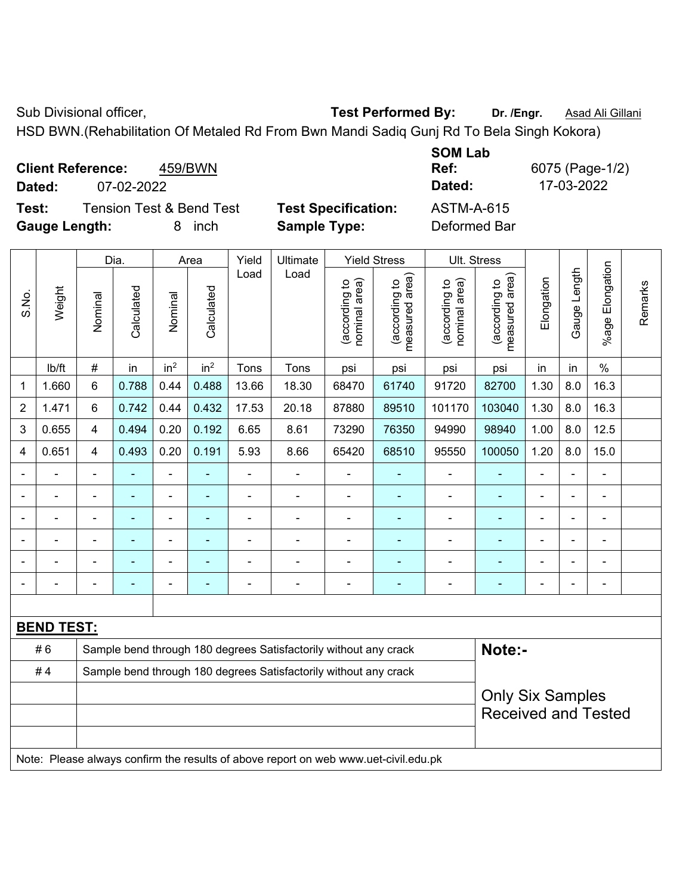Sub Divisional officer, **Test Performed By:** Dr. /Engr. **Asad Ali Gillani** Collection Association Association Association Association Association Association Association Association Association Association Association Asso

HSD BWN.(Rehabilitation Of Metaled Rd From Bwn Mandi Sadiq Gunj Rd To Bela Singh Kokora)

**Client Reference:** 459/BWN **Dated:** 07-02-2022 **Dated:** 17-03-2022 **Test:** Tension Test & Bend Test **Test Specification:** ASTM-A-615

**SOM Lab Ref:** 6075 (Page-1/2)

|                |                   |                          | Dia.           |                 | Area            | Yield                    | Ultimate                                                         |                               | <b>Yield Stress</b>                         | Ult. Stress                    |                                 |                |                          |                 |         |
|----------------|-------------------|--------------------------|----------------|-----------------|-----------------|--------------------------|------------------------------------------------------------------|-------------------------------|---------------------------------------------|--------------------------------|---------------------------------|----------------|--------------------------|-----------------|---------|
| S.No.          | Weight            | Nominal                  | Calculated     | Nominal         | Calculated      | Load                     | Load                                                             | nominal area)<br>according to | (according to<br>neasured area)<br>measured | nominal area)<br>(according to | measured area)<br>(according to | Elongation     | Gauge Length             | %age Elongation | Remarks |
|                | lb/ft             | $\#$                     | in             | in <sup>2</sup> | in <sup>2</sup> | Tons                     | Tons                                                             | psi                           | psi                                         | psi                            | psi                             | in             | in                       | $\%$            |         |
| 1              | 1.660             | 6                        | 0.788          | 0.44            | 0.488           | 13.66                    | 18.30                                                            | 68470                         | 61740                                       | 91720                          | 82700                           | 1.30           | 8.0                      | 16.3            |         |
| 2              | 1.471             | 6                        | 0.742          | 0.44            | 0.432           | 17.53                    | 20.18                                                            | 87880                         | 89510                                       | 101170                         | 103040                          | 1.30           | 8.0                      | 16.3            |         |
| 3              | 0.655             | $\overline{4}$           | 0.494          | 0.20            | 0.192           | 6.65                     | 8.61                                                             | 73290                         | 76350                                       | 94990                          | 98940                           | 1.00           | 8.0                      | 12.5            |         |
| 4              | 0.651             | $\overline{4}$           | 0.493          | 0.20            | 0.191           | 5.93                     | 8.66                                                             | 65420                         | 68510                                       | 95550                          | 100050                          | 1.20           | 8.0                      | 15.0            |         |
|                |                   | $\blacksquare$           |                | $\blacksquare$  |                 |                          |                                                                  |                               |                                             |                                |                                 |                |                          | ۳               |         |
| $\blacksquare$ |                   | $\blacksquare$           | $\blacksquare$ | $\blacksquare$  | ÷               | $\overline{\phantom{0}}$ | $\blacksquare$                                                   | $\blacksquare$                | $\blacksquare$                              | $\qquad \qquad \blacksquare$   | $\overline{\phantom{0}}$        | $\blacksquare$ | $\overline{a}$           | $\blacksquare$  |         |
|                |                   | $\blacksquare$           | $\blacksquare$ | ÷               | ÷               | $\blacksquare$           |                                                                  | ٠                             | Ē.                                          |                                | ۰                               |                | $\blacksquare$           | -               |         |
|                |                   | $\overline{\phantom{0}}$ |                | ÷               | ۳               |                          |                                                                  |                               | $\overline{\phantom{0}}$                    | $\blacksquare$                 | ۰                               | $\blacksquare$ | $\overline{\phantom{0}}$ | $\overline{a}$  |         |
|                |                   | $\blacksquare$           | ۰              | $\blacksquare$  | ۰               |                          |                                                                  |                               | $\blacksquare$                              |                                | $\overline{\phantom{0}}$        | $\blacksquare$ | $\blacksquare$           | ä,              |         |
| $\blacksquare$ |                   | -                        |                |                 | ۳               |                          |                                                                  | $\overline{\phantom{0}}$      | ٠                                           |                                | $\overline{\phantom{0}}$        | $\blacksquare$ | $\overline{a}$           | ÷               |         |
|                |                   |                          |                |                 |                 |                          |                                                                  |                               |                                             |                                |                                 |                |                          |                 |         |
|                | <b>BEND TEST:</b> |                          |                |                 |                 |                          |                                                                  |                               |                                             |                                |                                 |                |                          |                 |         |
|                | #6                |                          |                |                 |                 |                          | Sample bend through 180 degrees Satisfactorily without any crack |                               |                                             |                                | Note:-                          |                |                          |                 |         |
|                | #4                |                          |                |                 |                 |                          | Sample bend through 180 degrees Satisfactorily without any crack |                               |                                             |                                |                                 |                |                          |                 |         |
|                |                   |                          |                |                 |                 |                          |                                                                  |                               |                                             |                                | <b>Only Six Samples</b>         |                |                          |                 |         |
|                |                   |                          |                |                 |                 |                          |                                                                  | <b>Received and Tested</b>    |                                             |                                |                                 |                |                          |                 |         |

Note: Please always confirm the results of above report on web www.uet-civil.edu.pk

**Gauge Length:** 8 inch **Sample Type:** Deformed Bar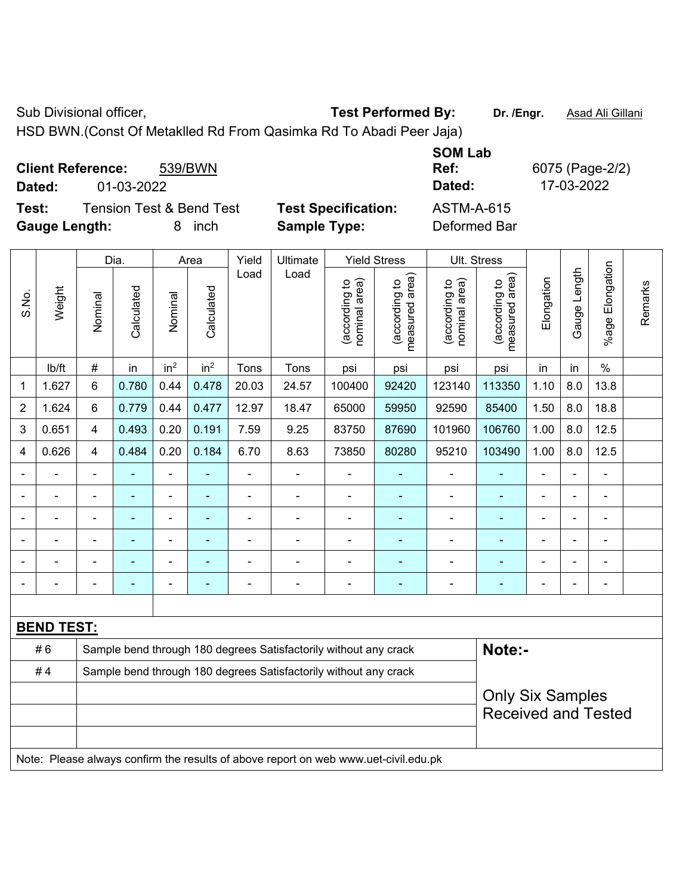Sub Divisional officer, **Test Performed By:** Dr. /Engr. **Asad Ali Gillani** Associated By: Dr. /Engr. **Asad Ali Gillani** 

HSD BWN.(Const Of Metaklled Rd From Qasimka Rd To Abadi Peer Jaja)

| <b>Client Reference:</b><br>539/BWN          |                             | <b>SOM Lab</b><br>Ref: | 6075 (Page-2/2) |
|----------------------------------------------|-----------------------------|------------------------|-----------------|
| 01-03-2022<br>Dated:                         |                             | Dated:                 | 17-03-2022      |
| Test:<br><b>Tension Test &amp; Bend Test</b> | <b>Test Specification:</b>  | <b>ASTM-A-615</b>      |                 |
| <b>Gauge Length:</b>                         | <b>Sample Type:</b><br>inch | Deformed Bar           |                 |

|                |                   |                                                                                     | Dia.           |                 | Area            | Yield          | Ultimate |                                | <b>Yield Stress</b>             |                                                       | Ult. Stress                                 |                |                |                       |         |
|----------------|-------------------|-------------------------------------------------------------------------------------|----------------|-----------------|-----------------|----------------|----------|--------------------------------|---------------------------------|-------------------------------------------------------|---------------------------------------------|----------------|----------------|-----------------------|---------|
| S.No.          | Weight            | Nominal                                                                             | Calculated     | Nominal         | Calculated      | Load           | Load     | nominal area)<br>(according to | measured area)<br>(according to | nominal area)<br>(according to                        | (according to<br>neasured area)<br>measured | Elongation     | Gauge Length   | Elongation<br>$%$ age | Remarks |
|                | lb/ft             | $\#$                                                                                | in             | in <sup>2</sup> | in <sup>2</sup> | Tons           | Tons     | psi                            | psi                             | psi                                                   | psi                                         | in             | in             | $\%$                  |         |
| 1              | 1.627             | 6                                                                                   | 0.780          | 0.44            | 0.478           | 20.03          | 24.57    | 100400                         | 92420                           | 123140                                                | 113350                                      | 1.10           | 8.0            | 13.8                  |         |
| $\overline{2}$ | 1.624             | 6                                                                                   | 0.779          | 0.44            | 0.477           | 12.97          | 18.47    | 65000                          | 59950                           | 92590                                                 | 85400                                       | 1.50           | 8.0            | 18.8                  |         |
| 3              | 0.651             | 4                                                                                   | 0.493          | 0.20            | 0.191           | 7.59           | 9.25     | 83750                          | 87690                           | 101960                                                | 106760                                      | 1.00           | 8.0            | 12.5                  |         |
| 4              | 0.626             | 4                                                                                   | 0.484          | 0.20            | 0.184           | 6.70           | 8.63     | 73850                          | 80280                           | 95210                                                 | 103490                                      | 1.00           | 8.0            | 12.5                  |         |
|                | ä,                | $\blacksquare$                                                                      | ÷,             | $\overline{a}$  |                 | $\blacksquare$ | ä,       | ÷                              |                                 |                                                       | ä,                                          | $\blacksquare$ | $\blacksquare$ | $\blacksquare$        |         |
|                | $\blacksquare$    |                                                                                     | ÷,             | $\blacksquare$  |                 | ä,             | ä,       | $\blacksquare$                 | ä,                              | $\blacksquare$                                        | $\blacksquare$                              | $\blacksquare$ |                | $\blacksquare$        |         |
|                |                   |                                                                                     | $\blacksquare$ | $\blacksquare$  |                 | $\blacksquare$ | i.       | $\blacksquare$                 | $\blacksquare$                  | $\blacksquare$                                        | $\blacksquare$                              |                |                | $\blacksquare$        |         |
|                |                   |                                                                                     |                | $\blacksquare$  |                 |                |          |                                |                                 |                                                       |                                             |                |                | $\blacksquare$        |         |
|                | $\blacksquare$    |                                                                                     | ۰              | $\blacksquare$  |                 |                | ÷        | $\blacksquare$                 | ۰                               | $\blacksquare$                                        | $\blacksquare$                              | $\blacksquare$ |                | $\blacksquare$        |         |
| ٠              |                   | ä,                                                                                  | ۰              | $\blacksquare$  | ÷               | ٠              | Ē,       | $\blacksquare$                 | ۰                               | $\blacksquare$                                        | ٠                                           | $\blacksquare$ |                | $\blacksquare$        |         |
|                |                   |                                                                                     |                |                 |                 |                |          |                                |                                 |                                                       |                                             |                |                |                       |         |
|                | <b>BEND TEST:</b> |                                                                                     |                |                 |                 |                |          |                                |                                 |                                                       |                                             |                |                |                       |         |
|                | #6                | Sample bend through 180 degrees Satisfactorily without any crack                    |                |                 |                 |                |          |                                |                                 | Note:-                                                |                                             |                |                |                       |         |
|                | #4                | Sample bend through 180 degrees Satisfactorily without any crack                    |                |                 |                 |                |          |                                |                                 |                                                       |                                             |                |                |                       |         |
|                |                   |                                                                                     |                |                 |                 |                |          |                                |                                 | <b>Only Six Samples</b><br><b>Received and Tested</b> |                                             |                |                |                       |         |
|                |                   | Note: Please always confirm the results of above report on web www.uet-civil.edu.pk |                |                 |                 |                |          |                                |                                 |                                                       |                                             |                |                |                       |         |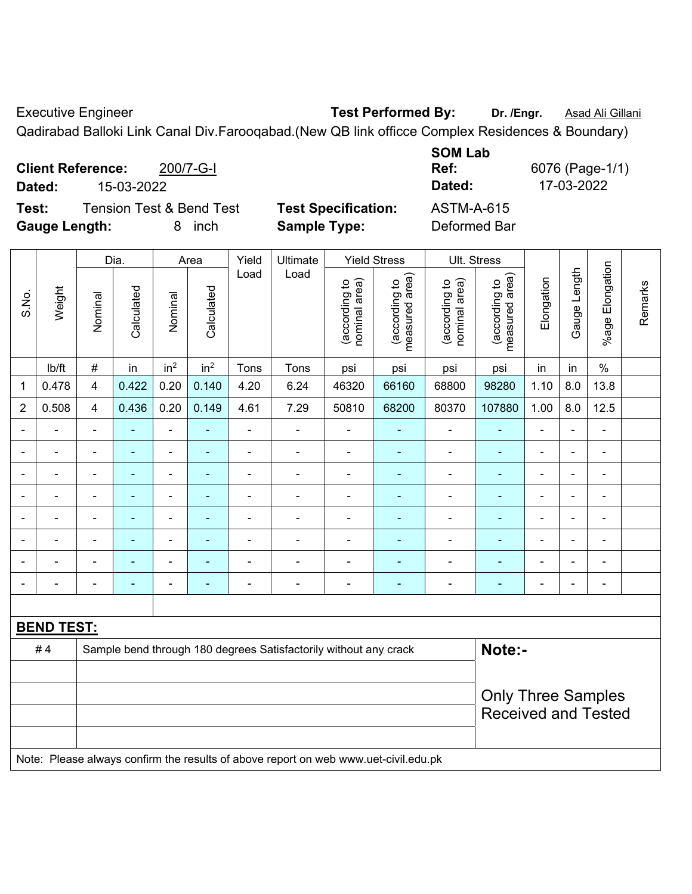Executive Engineer **Test Performed By:** Dr. /Engr. **Asad Ali Gillani** Collection Association Collection Association

Qadirabad Balloki Link Canal Div.Farooqabad.(New QB link officce Complex Residences & Boundary)

**Client Reference:** 200/7-G-I **Dated:** 15-03-2022 **Dated:** 17-03-2022 **Test:** Tension Test & Bend Test **Test Specification:** ASTM-A-615

**Gauge Length:** 8 inch **Sample Type:** Deformed Bar

**SOM Lab** 

**Ref:** 6076 (Page-1/1)

|                |                   |                          | Dia.                     |                 | Area                     | Yield          | Ultimate                                                         |                                | <b>Yield Stress</b>             |                                | Ult. Stress                                             |                          |                |                          |         |
|----------------|-------------------|--------------------------|--------------------------|-----------------|--------------------------|----------------|------------------------------------------------------------------|--------------------------------|---------------------------------|--------------------------------|---------------------------------------------------------|--------------------------|----------------|--------------------------|---------|
| S.No.          | Weight            | Nominal                  | Calculated               | Nominal         | Calculated               | Load           | Load                                                             | nominal area)<br>(according to | measured area)<br>(according to | nominal area)<br>(according to | (according to<br>measured area)                         | Elongation               | Gauge Length   | Elongation<br>$%$ age    | Remarks |
|                | lb/ft             | $\#$                     | in                       | in <sup>2</sup> | in <sup>2</sup>          | Tons           | Tons                                                             | psi                            | psi                             | psi                            | psi                                                     | in                       | in             | $\%$                     |         |
| 1              | 0.478             | $\overline{\mathbf{4}}$  | 0.422                    | 0.20            | 0.140                    | 4.20           | 6.24                                                             | 46320                          | 66160                           | 68800                          | 98280                                                   | 1.10                     | 8.0            | 13.8                     |         |
| $\overline{2}$ | 0.508             | 4                        | 0.436                    | 0.20            | 0.149                    | 4.61           | 7.29                                                             | 50810                          | 68200                           | 80370                          | 107880                                                  | 1.00                     | 8.0            | 12.5                     |         |
| $\blacksquare$ |                   | $\blacksquare$           | $\blacksquare$           | ÷,              | $\blacksquare$           | $\blacksquare$ | ÷,                                                               | $\blacksquare$                 | ۰                               | $\blacksquare$                 | $\blacksquare$                                          | ä,                       | $\blacksquare$ | $\overline{\phantom{a}}$ |         |
|                |                   | $\blacksquare$           | ۰                        | $\blacksquare$  |                          | ä,             | $\overline{a}$                                                   | ä,                             | ۰                               | $\overline{\phantom{a}}$       | $\blacksquare$                                          | $\blacksquare$           |                | $\blacksquare$           |         |
| $\overline{a}$ |                   | $\blacksquare$           | $\overline{\phantom{0}}$ | $\blacksquare$  | $\blacksquare$           | $\blacksquare$ | $\overline{a}$                                                   | $\blacksquare$                 | ۰                               | $\overline{\phantom{a}}$       | $\blacksquare$                                          | ۰                        | $\blacksquare$ | $\blacksquare$           |         |
| $\overline{a}$ |                   | $\overline{\phantom{0}}$ | ۰                        | $\blacksquare$  | $\blacksquare$           | $\blacksquare$ | ÷                                                                | $\blacksquare$                 | $\blacksquare$                  | $\overline{\phantom{a}}$       | $\overline{\phantom{a}}$                                | $\blacksquare$           |                | $\blacksquare$           |         |
| $\blacksquare$ |                   | $\blacksquare$           | $\blacksquare$           | $\blacksquare$  | $\overline{\phantom{a}}$ | ä,             | $\blacksquare$                                                   | ÷                              | $\blacksquare$                  | $\blacksquare$                 | $\blacksquare$                                          | $\blacksquare$           |                | $\blacksquare$           |         |
|                |                   |                          | $\overline{\phantom{0}}$ | ÷               |                          | ÷              | $\blacksquare$                                                   | ÷                              | ÷                               |                                | ÷                                                       | $\overline{\phantom{0}}$ |                | $\overline{a}$           |         |
| $\blacksquare$ |                   | $\blacksquare$           | ۰                        | $\blacksquare$  |                          | $\blacksquare$ | $\blacksquare$                                                   | $\blacksquare$                 | $\blacksquare$                  |                                | ٠                                                       | $\overline{\phantom{0}}$ |                | $\blacksquare$           |         |
| $\blacksquare$ |                   | $\blacksquare$           | ۰                        | $\blacksquare$  | $\blacksquare$           | $\blacksquare$ | $\blacksquare$                                                   | ä,                             | ۰                               | $\overline{\phantom{a}}$       | $\blacksquare$                                          | ۰                        |                | $\blacksquare$           |         |
|                |                   |                          |                          |                 |                          |                |                                                                  |                                |                                 |                                |                                                         |                          |                |                          |         |
|                | <b>BEND TEST:</b> |                          |                          |                 |                          |                |                                                                  |                                |                                 |                                |                                                         |                          |                |                          |         |
|                | #4                |                          |                          |                 |                          |                | Sample bend through 180 degrees Satisfactorily without any crack |                                |                                 |                                | Note:-                                                  |                          |                |                          |         |
|                |                   |                          |                          |                 |                          |                |                                                                  |                                |                                 |                                |                                                         |                          |                |                          |         |
|                |                   |                          |                          |                 |                          |                |                                                                  |                                |                                 |                                | <b>Only Three Samples</b><br><b>Received and Tested</b> |                          |                |                          |         |
|                |                   |                          |                          |                 |                          |                |                                                                  |                                |                                 |                                |                                                         |                          |                |                          |         |

Note: Please always confirm the results of above report on web www.uet-civil.edu.pk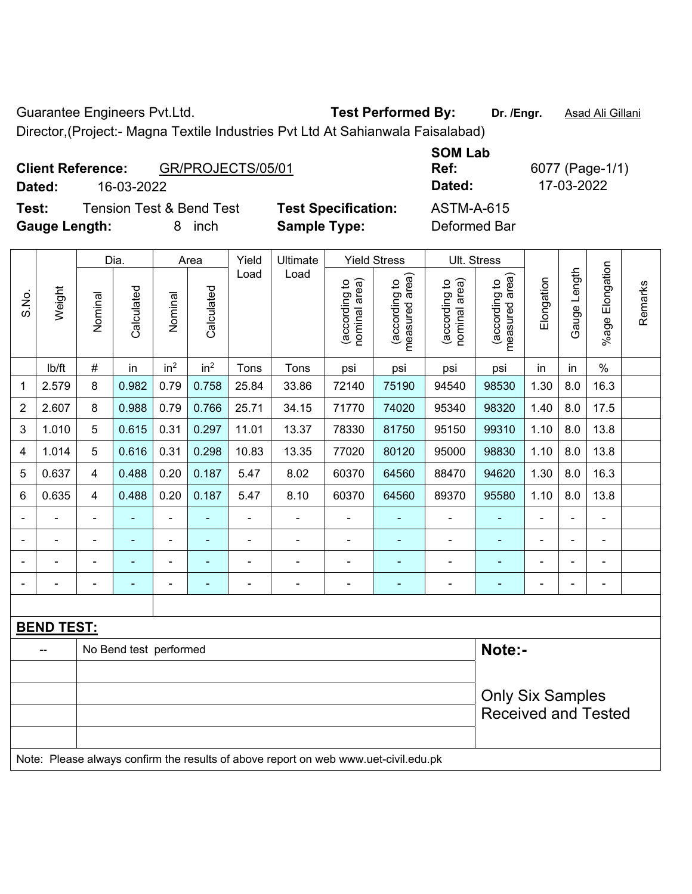Guarantee Engineers Pvt.Ltd. **Test Performed By:** Dr. /Engr. **Asad Ali Gillani** 

Director,(Project:- Magna Textile Industries Pvt Ltd At Sahianwala Faisalabad)

| <b>Client Reference:</b> | GR/PROJECTS/05/01 | <b>Ref</b> | 6077 (Page-1 |
|--------------------------|-------------------|------------|--------------|
| Dated:                   | 16-03-2022        | Dated:     | 17-03-2022   |

**Test:** Tension Test & Bend Test **Test Specification:** ASTM-A-615 **Gauge Length:** 8 inch **Sample Type:** Deformed Bar

**Ref:** 6077 (Page-1/1)

|       |                   |                | Dia.                   |                 | Area            | Yield          | Ultimate                                                                            |                               | <b>Yield Stress</b>             |                                | Ult. Stress                     |                |              |                       |         |
|-------|-------------------|----------------|------------------------|-----------------|-----------------|----------------|-------------------------------------------------------------------------------------|-------------------------------|---------------------------------|--------------------------------|---------------------------------|----------------|--------------|-----------------------|---------|
| S.No. | Weight            | Nominal        | Calculated             | Nominal         | Calculated      | Load           | Load                                                                                | nominal area)<br>according to | measured area)<br>(according to | nominal area)<br>(according to | measured area)<br>(according to | Elongation     | Gauge Length | Elongation<br>$%$ age | Remarks |
|       | lb/ft             | $\#$           | in                     | in <sup>2</sup> | in <sup>2</sup> | Tons           | Tons                                                                                | psi                           | psi                             | psi                            | psi                             | in             | in           | $\%$                  |         |
| 1     | 2.579             | 8              | 0.982                  | 0.79            | 0.758           | 25.84          | 33.86                                                                               | 72140                         | 75190                           | 94540                          | 98530                           | 1.30           | 8.0          | 16.3                  |         |
| 2     | 2.607             | 8              | 0.988                  | 0.79            | 0.766           | 25.71          | 34.15                                                                               | 71770                         | 74020                           | 95340                          | 98320                           | 1.40           | 8.0          | 17.5                  |         |
| 3     | 1.010             | 5              | 0.615                  | 0.31            | 0.297           | 11.01          | 13.37                                                                               | 78330                         | 81750                           | 95150                          | 99310                           | 1.10           | 8.0          | 13.8                  |         |
| 4     | 1.014             | 5              | 0.616                  | 0.31            | 0.298           | 10.83          | 13.35                                                                               | 77020                         | 80120                           | 95000                          | 98830                           | 1.10           | 8.0          | 13.8                  |         |
| 5     | 0.637             | 4              | 0.488                  | 0.20            | 0.187           | 5.47           | 8.02                                                                                | 60370                         | 64560                           | 88470                          | 94620                           | 1.30           | 8.0          | 16.3                  |         |
| 6     | 0.635             | 4              | 0.488                  | 0.20            | 0.187           | 5.47           | 8.10                                                                                | 60370                         | 64560                           | 89370                          | 95580                           | 1.10           | 8.0          | 13.8                  |         |
|       |                   | $\blacksquare$ | $\blacksquare$         | $\blacksquare$  | $\blacksquare$  | $\blacksquare$ | $\blacksquare$                                                                      | $\blacksquare$                | ÷                               | $\overline{\phantom{a}}$       | $\blacksquare$                  | $\blacksquare$ |              | $\blacksquare$        |         |
|       |                   | ä,             | $\blacksquare$         | $\blacksquare$  | ۰               | $\blacksquare$ | $\blacksquare$                                                                      | $\blacksquare$                | ۰                               | ÷                              | $\blacksquare$                  | $\blacksquare$ |              | $\blacksquare$        |         |
|       |                   |                | $\blacksquare$         | $\blacksquare$  |                 | $\blacksquare$ | $\blacksquare$                                                                      | ä,                            | ۰                               | ä,                             | ä,                              | $\blacksquare$ |              | $\blacksquare$        |         |
|       |                   |                |                        |                 |                 |                |                                                                                     | -                             |                                 |                                |                                 |                |              | $\blacksquare$        |         |
|       |                   |                |                        |                 |                 |                |                                                                                     |                               |                                 |                                |                                 |                |              |                       |         |
|       | <b>BEND TEST:</b> |                |                        |                 |                 |                |                                                                                     |                               |                                 |                                |                                 |                |              |                       |         |
|       |                   |                | No Bend test performed |                 |                 |                |                                                                                     |                               |                                 |                                | Note:-                          |                |              |                       |         |
|       |                   |                |                        |                 |                 |                |                                                                                     |                               |                                 |                                |                                 |                |              |                       |         |
|       |                   |                |                        |                 |                 |                |                                                                                     |                               |                                 |                                | <b>Only Six Samples</b>         |                |              |                       |         |
|       |                   |                |                        |                 |                 |                |                                                                                     |                               |                                 |                                | <b>Received and Tested</b>      |                |              |                       |         |
|       |                   |                |                        |                 |                 |                |                                                                                     |                               |                                 |                                |                                 |                |              |                       |         |
|       |                   |                |                        |                 |                 |                | Note: Please always confirm the results of above report on web www.uet-civil.edu.pk |                               |                                 |                                |                                 |                |              |                       |         |

**SOM Lab**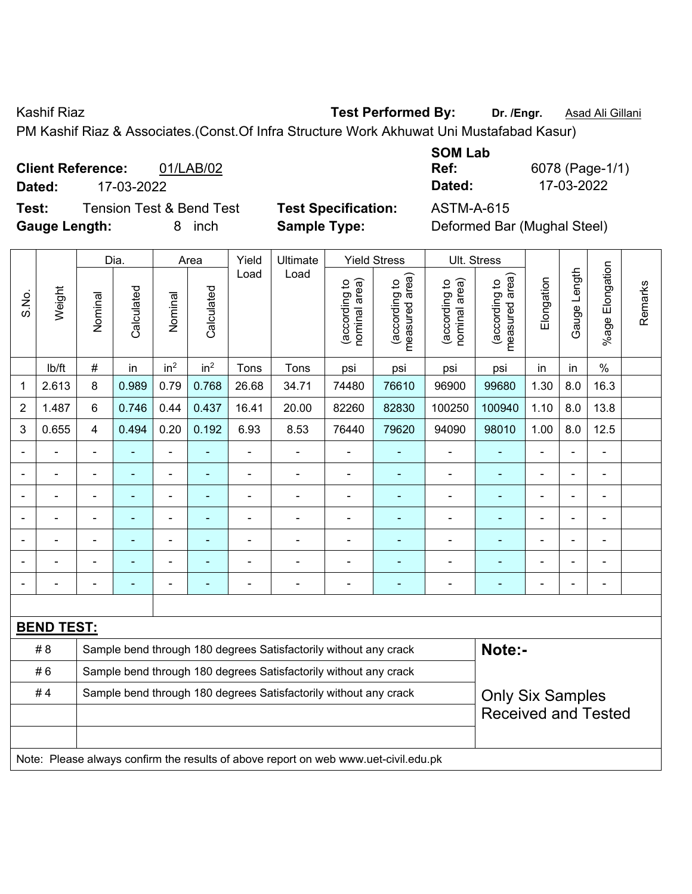Kashif Riaz **Test Performed By:** Dr. /Engr. **Asad Ali Gillani** Cashif Riaz **Dr.** *Asad Ali Gillani* 

PM Kashif Riaz & Associates.(Const.Of Infra Structure Work Akhuwat Uni Mustafabad Kasur)

**Client Reference:** 01/LAB/02 **Dated:** 17-03-2022 **Dated:** 17-03-2022 **Test:** Tension Test & Bend Test **Test Specification:** ASTM-A-615

**SOM Lab Ref:** 6078 (Page-1/1)

**Gauge Length:** 8 inch **Sample Type:** Deformed Bar (Mughal Steel)

|                |                   |                | Dia.           |                              | Area            | Yield          | Ultimate                                                                            |                                | <b>Yield Stress</b>             | Ult. Stress                    |                                 |                |                |                           |         |
|----------------|-------------------|----------------|----------------|------------------------------|-----------------|----------------|-------------------------------------------------------------------------------------|--------------------------------|---------------------------------|--------------------------------|---------------------------------|----------------|----------------|---------------------------|---------|
| S.No.          | Weight            | Nominal        | Calculated     | Nominal                      | Calculated      | Load           | Load                                                                                | nominal area)<br>(according to | measured area)<br>(according to | nominal area)<br>(according to | (according to<br>measured area) | Elongation     | Gauge Length   | Elongation<br>$%$ age $ $ | Remarks |
|                | lb/ft             | $\#$           | in             | in <sup>2</sup>              | in <sup>2</sup> | Tons           | Tons                                                                                | psi                            | psi                             | psi                            | psi                             | in             | in             | $\%$                      |         |
| 1              | 2.613             | 8              | 0.989          | 0.79                         | 0.768           | 26.68          | 34.71                                                                               | 74480                          | 76610                           | 96900                          | 99680                           | 1.30           | 8.0            | 16.3                      |         |
| $\overline{2}$ | 1.487             | 6              | 0.746          | 0.44                         | 0.437           | 16.41          | 20.00                                                                               | 82260                          | 82830                           | 100250                         | 100940                          | 1.10           | 8.0            | 13.8                      |         |
| 3              | 0.655             | $\overline{4}$ | 0.494          | 0.20                         | 0.192           | 6.93           | 8.53                                                                                | 76440                          | 79620                           | 94090                          | 98010                           | 1.00           | 8.0            | 12.5                      |         |
|                |                   |                |                | $\blacksquare$               | ۰               | $\blacksquare$ | $\blacksquare$                                                                      |                                |                                 | $\overline{\phantom{a}}$       | ۰                               | ä,             | $\blacksquare$ | ä,                        |         |
|                |                   |                | $\blacksquare$ | $\blacksquare$               | $\blacksquare$  | $\blacksquare$ | ÷,                                                                                  | $\blacksquare$                 | $\blacksquare$                  | $\blacksquare$                 | $\blacksquare$                  | $\blacksquare$ | $\blacksquare$ | $\blacksquare$            |         |
|                | $\blacksquare$    |                | Ē,             | $\qquad \qquad \blacksquare$ | ۰               | L,             | $\blacksquare$                                                                      | Ē,                             | $\blacksquare$                  | $\blacksquare$                 | ÷                               | $\blacksquare$ | $\blacksquare$ | $\blacksquare$            |         |
|                | $\blacksquare$    |                | $\blacksquare$ | ÷,                           | ۰               | $\blacksquare$ | $\blacksquare$                                                                      | $\blacksquare$                 | $\blacksquare$                  |                                | ۰                               | $\blacksquare$ |                | ä,                        |         |
|                |                   |                |                |                              |                 |                |                                                                                     |                                |                                 |                                |                                 |                |                |                           |         |
|                |                   |                |                | ÷                            |                 |                |                                                                                     |                                |                                 |                                |                                 |                |                |                           |         |
|                |                   |                |                | ۰                            | ۳               | -              | $\overline{\phantom{0}}$                                                            |                                | $\blacksquare$                  | -                              | ۰                               | $\blacksquare$ |                | $\overline{\phantom{a}}$  |         |
|                |                   |                |                |                              |                 |                |                                                                                     |                                |                                 |                                |                                 |                |                |                           |         |
|                | <b>BEND TEST:</b> |                |                |                              |                 |                |                                                                                     |                                |                                 |                                |                                 |                |                |                           |         |
|                | # 8               |                |                |                              |                 |                | Sample bend through 180 degrees Satisfactorily without any crack                    |                                |                                 |                                | Note:-                          |                |                |                           |         |
|                | #6                |                |                |                              |                 |                | Sample bend through 180 degrees Satisfactorily without any crack                    |                                |                                 |                                |                                 |                |                |                           |         |
|                | #4                |                |                |                              |                 |                | Sample bend through 180 degrees Satisfactorily without any crack                    |                                |                                 |                                | <b>Only Six Samples</b>         |                |                |                           |         |
|                |                   |                |                |                              |                 |                |                                                                                     |                                |                                 |                                | <b>Received and Tested</b>      |                |                |                           |         |
|                |                   |                |                |                              |                 |                |                                                                                     |                                |                                 |                                |                                 |                |                |                           |         |
|                |                   |                |                |                              |                 |                | Note: Please always confirm the results of above report on web www.uet-civil.edu.pk |                                |                                 |                                |                                 |                |                |                           |         |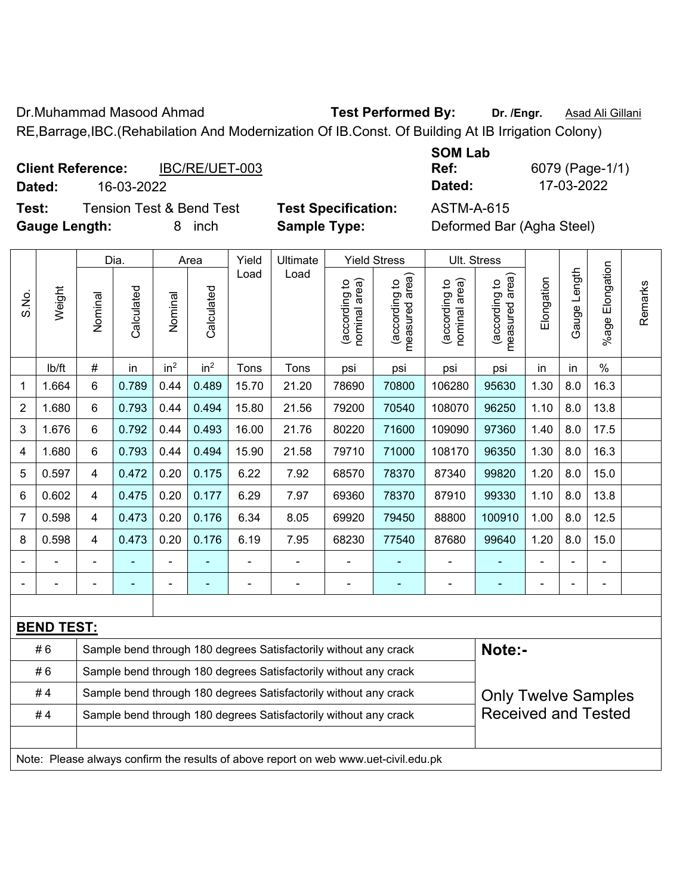Dr.Muhammad Masood Ahmad **Test Performed By:** Dr. /Engr. **Asad Ali Gillani** 

RE,Barrage,IBC.(Rehabilation And Modernization Of IB.Const. Of Building At IB Irrigation Colony)

| <b>Client Reference:</b> | IBC/RE/UET-003 | Ref:   | 6079 (Page-1 |
|--------------------------|----------------|--------|--------------|
| Dated:                   | 16-03-2022     | Dated: | 17-03-2022   |

**Test:** Tension Test & Bend Test **Test Specification:** ASTM-A-615 **Gauge Length:** 8 inch **Sample Type:** Deformed Bar (Agha Steel)

**SOM Lab Ref:** 6079 (Page-1/1)

Dia. | Area | Yield | Ultimate | Yield Stress | Ult. Stress %age Elongation **Elongation** e Length Gauge Length Load Load ding to<br>area) measured area) ding to<br>area) measured area) ngation ding to<br>I area) **Elongation** ling to<br>I area) nominal area) nominal area) (according to (according to (according to (according to **Calculated Calculated** lated lated Nominal  $\overline{\mathbf{g}}$ 

| S.No.                    | Weight                                                                                               | Nominal        | Calculated | Nominal         | Calculated      |                |                                                                                     | nominal area)<br>(according to | (according to<br>measured area<br>measured | nominal area)<br>(according to | (according to<br>measured area | Elongation     | Gauge Leng | Elongat<br>$%$ age | Remarks |
|--------------------------|------------------------------------------------------------------------------------------------------|----------------|------------|-----------------|-----------------|----------------|-------------------------------------------------------------------------------------|--------------------------------|--------------------------------------------|--------------------------------|--------------------------------|----------------|------------|--------------------|---------|
|                          | lb/ft                                                                                                | $\#$           | in         | in <sup>2</sup> | in <sup>2</sup> | Tons           | Tons                                                                                | psi                            | psi                                        | psi                            | psi                            | in             | in         | $\%$               |         |
| 1                        | 1.664                                                                                                | 6              | 0.789      | 0.44            | 0.489           | 15.70          | 21.20                                                                               | 78690                          | 70800                                      | 106280                         | 95630                          | 1.30           | 8.0        | 16.3               |         |
| $\overline{2}$           | 1.680                                                                                                | $6\phantom{1}$ | 0.793      | 0.44            | 0.494           | 15.80          | 21.56                                                                               | 79200                          | 70540                                      | 108070                         | 96250                          | 1.10           | 8.0        | 13.8               |         |
| $\mathbf{3}$             | 1.676                                                                                                | 6              | 0.792      | 0.44            | 0.493           | 16.00          | 21.76                                                                               | 80220                          | 71600                                      | 109090                         | 97360                          | 1.40           | 8.0        | 17.5               |         |
| $\overline{\mathcal{A}}$ | 1.680                                                                                                | 6              | 0.793      | 0.44            | 0.494           | 15.90          | 21.58                                                                               | 79710                          | 71000                                      | 108170                         | 96350                          | 1.30           | 8.0        | 16.3               |         |
| 5                        | 0.597                                                                                                | $\overline{4}$ | 0.472      | 0.20            | 0.175           | 6.22           | 7.92                                                                                | 68570                          | 78370                                      | 87340                          | 99820                          | 1.20           | 8.0        | 15.0               |         |
| $\,6$                    | 0.602                                                                                                | 4              | 0.475      | 0.20            | 0.177           | 6.29           | 7.97                                                                                | 69360                          | 78370                                      | 87910                          | 99330                          | 1.10           | 8.0        | 13.8               |         |
| $\overline{7}$           | 0.598                                                                                                | $\overline{4}$ | 0.473      | 0.20            | 0.176           | 6.34           | 8.05                                                                                | 69920                          | 79450                                      | 88800                          | 100910                         | 1.00           | 8.0        | 12.5               |         |
| 8                        | 0.598                                                                                                | $\overline{4}$ | 0.473      | 0.20            | 0.176           | 6.19           | 7.95                                                                                | 68230                          | 77540                                      | 87680                          | 99640                          | 1.20           | 8.0        | 15.0               |         |
|                          |                                                                                                      | Ē,             |            |                 | $\blacksquare$  |                |                                                                                     |                                |                                            |                                | $\blacksquare$                 |                |            | ÷,                 |         |
|                          |                                                                                                      |                |            |                 | ۰               | $\blacksquare$ | $\blacksquare$                                                                      | $\overline{\phantom{0}}$       | ۰                                          | $\blacksquare$                 | ۰                              | $\blacksquare$ |            | $\blacksquare$     |         |
|                          |                                                                                                      |                |            |                 |                 |                |                                                                                     |                                |                                            |                                |                                |                |            |                    |         |
|                          | <b>BEND TEST:</b>                                                                                    |                |            |                 |                 |                |                                                                                     |                                |                                            |                                |                                |                |            |                    |         |
|                          | #6                                                                                                   |                |            |                 |                 |                | Sample bend through 180 degrees Satisfactorily without any crack                    |                                |                                            |                                | Note:-                         |                |            |                    |         |
|                          | #6                                                                                                   |                |            |                 |                 |                | Sample bend through 180 degrees Satisfactorily without any crack                    |                                |                                            |                                |                                |                |            |                    |         |
|                          | #4                                                                                                   |                |            |                 |                 |                | Sample bend through 180 degrees Satisfactorily without any crack                    |                                |                                            |                                | <b>Only Twelve Samples</b>     |                |            |                    |         |
|                          | <b>Received and Tested</b><br>#4<br>Sample bend through 180 degrees Satisfactorily without any crack |                |            |                 |                 |                |                                                                                     |                                |                                            |                                |                                |                |            |                    |         |
|                          |                                                                                                      |                |            |                 |                 |                |                                                                                     |                                |                                            |                                |                                |                |            |                    |         |
|                          |                                                                                                      |                |            |                 |                 |                | Note: Please always confirm the results of above report on web www.uet-civil.edu.pk |                                |                                            |                                |                                |                |            |                    |         |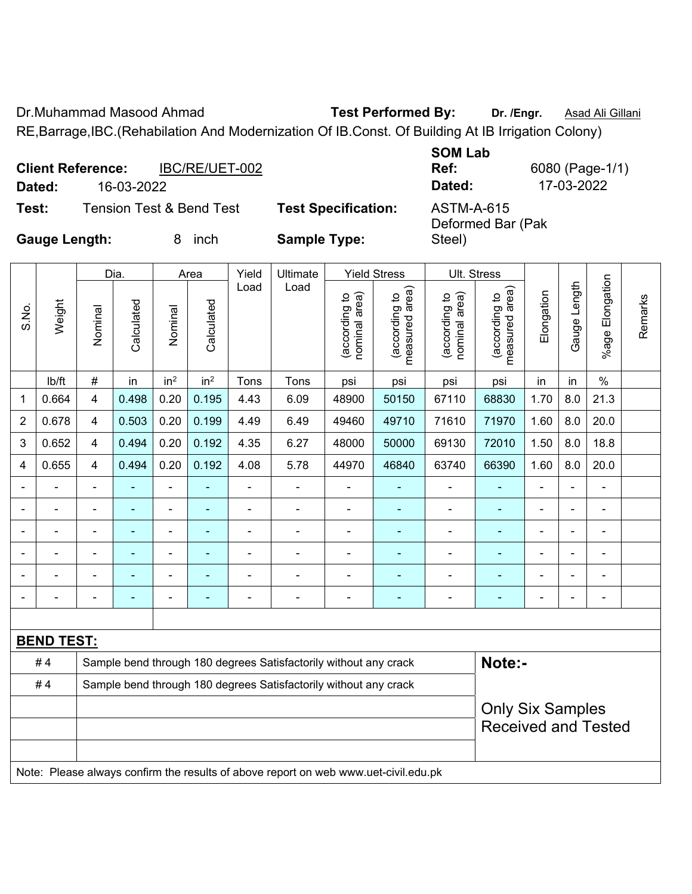Dr.Muhammad Masood Ahmad **Test Performed By: Dr. /Engr.** Asad Ali Gillani

RE,Barrage,IBC.(Rehabilation And Modernization Of IB.Const. Of Building At IB Irrigation Colony)

| <b>Client Reference:</b><br>Dated: | 16-03-2022 | IBC/RE/UET-002           |                            | <b>SOM Lab</b><br>Ref:<br>Dated:       | 6080 (Page-1/1)<br>17-03-2022 |
|------------------------------------|------------|--------------------------|----------------------------|----------------------------------------|-------------------------------|
| Test:                              |            | Tension Test & Bend Test | <b>Test Specification:</b> | <b>ASTM-A-615</b><br>Deformed Bar (Pak |                               |
| <b>Gauge Length:</b>               |            | inch                     | <b>Sample Type:</b>        | Steel)                                 |                               |

|                          |                   |                | Dia.           |                 | Area            | Yield          | Ultimate                                                                            |                                | <b>Yield Stress</b>             | Ult. Stress                    |                                 |                |                          |                 |         |
|--------------------------|-------------------|----------------|----------------|-----------------|-----------------|----------------|-------------------------------------------------------------------------------------|--------------------------------|---------------------------------|--------------------------------|---------------------------------|----------------|--------------------------|-----------------|---------|
| S.No.                    | Weight            | Nominal        | Calculated     | Nominal         | Calculated      | Load           | Load                                                                                | nominal area)<br>(according to | measured area)<br>(according to | nominal area)<br>(according to | measured area)<br>(according to | Elongation     | Gauge Length             | %age Elongation | Remarks |
|                          | lb/ft             | $\#$           | in             | in <sup>2</sup> | in <sup>2</sup> | Tons           | Tons                                                                                | psi                            | psi                             | psi                            | psi                             | in             | in                       | $\%$            |         |
| 1                        | 0.664             | 4              | 0.498          | 0.20            | 0.195           | 4.43           | 6.09                                                                                | 48900                          | 50150                           | 67110                          | 68830                           | 1.70           | 8.0                      | 21.3            |         |
| 2                        | 0.678             | 4              | 0.503          | 0.20            | 0.199           | 4.49           | 6.49                                                                                | 49460                          | 49710                           | 71610                          | 71970                           | 1.60           | 8.0                      | 20.0            |         |
| 3                        | 0.652             | 4              | 0.494          | 0.20            | 0.192           | 4.35           | 6.27                                                                                | 48000                          | 50000                           | 69130                          | 72010                           | 1.50           | 8.0                      | 18.8            |         |
| 4                        | 0.655             | 4              | 0.494          | 0.20            | 0.192           | 4.08           | 5.78                                                                                | 44970                          | 46840                           | 63740                          | 66390                           | 1.60           | 8.0                      | 20.0            |         |
|                          |                   | L,             |                | ä,              |                 | ÷,             |                                                                                     |                                |                                 |                                |                                 | $\blacksquare$ |                          |                 |         |
|                          |                   |                |                | ä,              |                 | L,             |                                                                                     | L,                             |                                 |                                |                                 |                |                          |                 |         |
|                          |                   | $\blacksquare$ | $\blacksquare$ | $\blacksquare$  |                 | ä,             | $\blacksquare$                                                                      | $\blacksquare$                 | $\blacksquare$                  | $\overline{\phantom{0}}$       | $\blacksquare$                  | $\blacksquare$ | $\blacksquare$           | $\blacksquare$  |         |
| $\blacksquare$           |                   | $\blacksquare$ | $\blacksquare$ | $\overline{a}$  |                 | $\overline{a}$ | $\blacksquare$                                                                      | $\blacksquare$                 | ۰                               | $\overline{\phantom{0}}$       | $\blacksquare$                  | $\blacksquare$ | $\blacksquare$           | ۰               |         |
| $\overline{\phantom{0}}$ |                   |                | ۰              | ÷               |                 | ä,             | $\blacksquare$                                                                      | -                              | ۰                               |                                | $\blacksquare$                  | $\blacksquare$ | $\overline{\phantom{0}}$ | $\blacksquare$  |         |
| $\blacksquare$           |                   | L,             | $\blacksquare$ | ÷               | Ē.              | ä,             | $\blacksquare$                                                                      | L,                             | ۰                               | $\blacksquare$                 | $\blacksquare$                  | $\blacksquare$ |                          | $\blacksquare$  |         |
|                          |                   |                |                |                 |                 |                |                                                                                     |                                |                                 |                                |                                 |                |                          |                 |         |
|                          | <b>BEND TEST:</b> |                |                |                 |                 |                |                                                                                     |                                |                                 |                                |                                 |                |                          |                 |         |
|                          | #4                |                |                |                 |                 |                | Sample bend through 180 degrees Satisfactorily without any crack                    |                                |                                 |                                | Note:-                          |                |                          |                 |         |
|                          | #4                |                |                |                 |                 |                | Sample bend through 180 degrees Satisfactorily without any crack                    |                                |                                 |                                |                                 |                |                          |                 |         |
|                          |                   |                |                |                 |                 |                |                                                                                     |                                |                                 |                                | <b>Only Six Samples</b>         |                |                          |                 |         |
|                          |                   |                |                |                 |                 |                |                                                                                     |                                |                                 |                                | <b>Received and Tested</b>      |                |                          |                 |         |
|                          |                   |                |                |                 |                 |                |                                                                                     |                                |                                 |                                |                                 |                |                          |                 |         |
|                          |                   |                |                |                 |                 |                | Note: Please always confirm the results of above report on web www.uet-civil.edu.pk |                                |                                 |                                |                                 |                |                          |                 |         |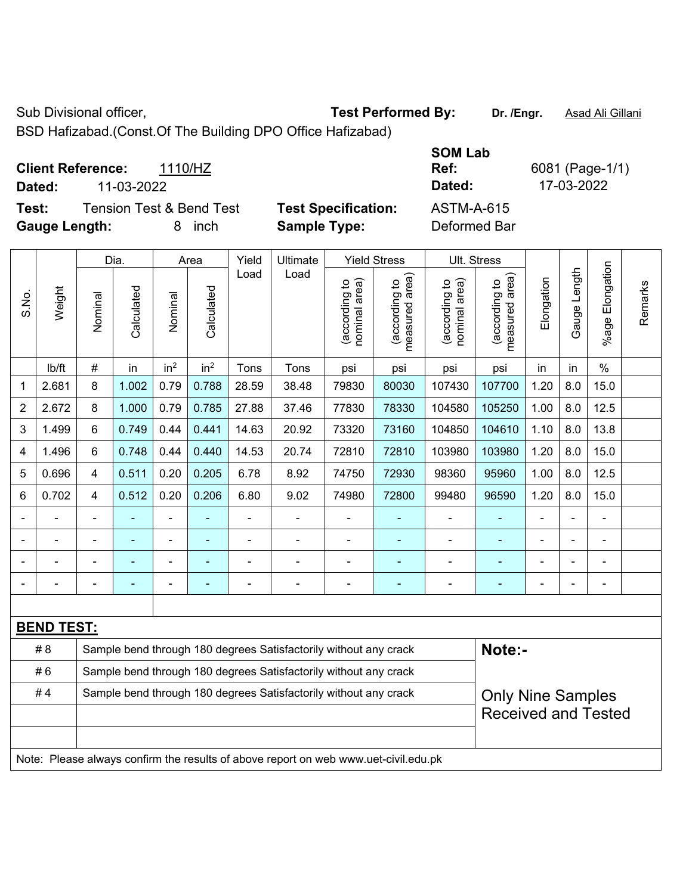Sub Divisional officer, **Test Performed By:** Dr. /Engr. **Asad Ali Gillani** Associated By: Dr. /Engr. **Asad Ali Gillani** 

BSD Hafizabad.(Const.Of The Building DPO Office Hafizabad)

|                          |            |                          |                            | <b>SOM Lab</b>    |                 |
|--------------------------|------------|--------------------------|----------------------------|-------------------|-----------------|
| <b>Client Reference:</b> |            | 1110/HZ                  |                            | Ref:              | 6081 (Page-1/1) |
| Dated:                   | 11-03-2022 |                          |                            | Dated:            | 17-03-2022      |
| Test:                    |            | Tension Test & Bend Test | <b>Test Specification:</b> | <b>ASTM-A-615</b> |                 |
| <b>Gauge Length:</b>     |            | inch<br>8.               | <b>Sample Type:</b>        | Deformed Bar      |                 |

|       |                   |                | Dia.       |                          | Area            | Yield          | Ultimate                                                                            |                                | <b>Yield Stress</b>             |                                | Ult. Stress                     |                |              |                       |         |
|-------|-------------------|----------------|------------|--------------------------|-----------------|----------------|-------------------------------------------------------------------------------------|--------------------------------|---------------------------------|--------------------------------|---------------------------------|----------------|--------------|-----------------------|---------|
| S.No. | Weight            | Nominal        | Calculated | Nominal                  | Calculated      | Load           | Load                                                                                | nominal area)<br>(according to | (according to<br>measured area) | nominal area)<br>(according to | (according to<br>measured area) | Elongation     | Gauge Length | Elongation<br>$%$ age | Remarks |
|       | lb/ft             | #              | in         | in <sup>2</sup>          | in <sup>2</sup> | Tons           | Tons                                                                                | psi                            | psi                             | psi                            | psi                             | in             | in           | $\%$                  |         |
| 1     | 2.681             | 8              | 1.002      | 0.79                     | 0.788           | 28.59          | 38.48                                                                               | 79830                          | 80030                           | 107430                         | 107700                          | 1.20           | 8.0          | 15.0                  |         |
| 2     | 2.672             | 8              | 1.000      | 0.79                     | 0.785           | 27.88          | 37.46                                                                               | 77830                          | 78330                           | 104580                         | 105250                          | 1.00           | 8.0          | 12.5                  |         |
| 3     | 1.499             | 6              | 0.749      | 0.44                     | 0.441           | 14.63          | 20.92                                                                               | 73320                          | 73160                           | 104850                         | 104610                          | 1.10           | 8.0          | 13.8                  |         |
| 4     | 1.496             | 6              | 0.748      | 0.44                     | 0.440           | 14.53          | 20.74                                                                               | 72810                          | 72810                           | 103980                         | 103980                          | 1.20           | 8.0          | 15.0                  |         |
| 5     | 0.696             | $\overline{4}$ | 0.511      | 0.20                     | 0.205           | 6.78           | 8.92                                                                                | 74750                          | 72930                           | 98360                          | 95960                           | 1.00           | 8.0          | 12.5                  |         |
| 6     | 0.702             | $\overline{4}$ | 0.512      | 0.20                     | 0.206           | 6.80           | 9.02                                                                                | 74980                          | 72800                           | 99480                          | 96590                           | 1.20           | 8.0          | 15.0                  |         |
|       |                   |                |            |                          |                 |                | ä,                                                                                  | $\blacksquare$                 |                                 |                                |                                 |                |              |                       |         |
|       | $\blacksquare$    |                | ÷,         | ÷,                       |                 | $\blacksquare$ | ä,                                                                                  | $\blacksquare$                 | ۰                               | $\blacksquare$                 | $\blacksquare$                  | $\blacksquare$ |              | $\blacksquare$        |         |
|       |                   |                | ۰          | ۰                        |                 |                | $\blacksquare$                                                                      |                                | ۰                               | $\blacksquare$                 | $\blacksquare$                  |                |              | ÷                     |         |
|       | ÷                 |                | ä,         | $\overline{\phantom{0}}$ |                 |                | ÷                                                                                   | $\blacksquare$                 | ä,                              | $\blacksquare$                 | $\blacksquare$                  | $\blacksquare$ |              | $\blacksquare$        |         |
|       |                   |                |            |                          |                 |                |                                                                                     |                                |                                 |                                |                                 |                |              |                       |         |
|       | <b>BEND TEST:</b> |                |            |                          |                 |                |                                                                                     |                                |                                 |                                |                                 |                |              |                       |         |
|       | # 8               |                |            |                          |                 |                | Sample bend through 180 degrees Satisfactorily without any crack                    |                                |                                 |                                | Note:-                          |                |              |                       |         |
|       | #6                |                |            |                          |                 |                | Sample bend through 180 degrees Satisfactorily without any crack                    |                                |                                 |                                |                                 |                |              |                       |         |
|       | #4                |                |            |                          |                 |                | Sample bend through 180 degrees Satisfactorily without any crack                    |                                |                                 |                                | <b>Only Nine Samples</b>        |                |              |                       |         |
|       |                   |                |            |                          |                 |                |                                                                                     |                                |                                 |                                | <b>Received and Tested</b>      |                |              |                       |         |
|       |                   |                |            |                          |                 |                |                                                                                     |                                |                                 |                                |                                 |                |              |                       |         |
|       |                   |                |            |                          |                 |                | Note: Please always confirm the results of above report on web www.uet-civil.edu.pk |                                |                                 |                                |                                 |                |              |                       |         |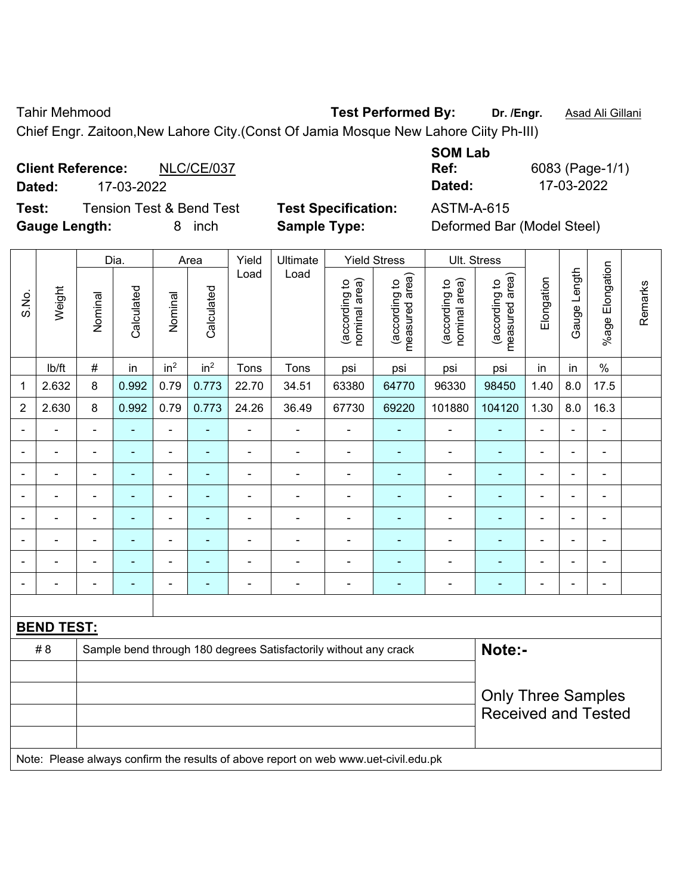Tahir Mehmood **Test Performed By: Dr. /Engr.** Asad Ali Gillani

Chief Engr. Zaitoon,New Lahore City.(Const Of Jamia Mosque New Lahore Ciity Ph-III)

| <b>Client Reference:</b> | NLC/CE/037                          |                            | Ref:       | 6083 (Page-1 |
|--------------------------|-------------------------------------|----------------------------|------------|--------------|
| Dated:                   | 17-03-2022                          |                            | Dated:     | 17-03-2022   |
| Test:                    | <b>Tension Test &amp; Bend Test</b> | <b>Test Specification:</b> | ASTM-A-615 |              |

**Gauge Length:** 8 inch **Sample Type:** Deformed Bar (Model Steel)

**Test Specification:** ASTM-A-615

| <b>SOM Lab</b> |                 |
|----------------|-----------------|
| Ref:           | 6083 (Page-1/1) |
| Dated:         | 17-03-2022      |

|                   | Dia.                                                                       |                | Area                         |                 | Yield          | Ultimate                 | <b>Yield Stress</b>            |                | Ult. Stress                     |                                                                                     |                          |                          |                              |                                              |
|-------------------|----------------------------------------------------------------------------|----------------|------------------------------|-----------------|----------------|--------------------------|--------------------------------|----------------|---------------------------------|-------------------------------------------------------------------------------------|--------------------------|--------------------------|------------------------------|----------------------------------------------|
| Weight            | Nominal                                                                    | Calculated     | Nominal                      | Calculated      |                |                          | (according to<br>nominal area) |                | (according to<br>nominal area)  | measured area)<br>(according to                                                     | Elongation               |                          |                              | Remarks                                      |
| lb/ft             | $\#$                                                                       | in             | in <sup>2</sup>              | in <sup>2</sup> | Tons           | Tons                     | psi                            | psi            | psi                             | psi                                                                                 | in                       | in                       | $\%$                         |                                              |
| 2.632             | 8                                                                          | 0.992          | 0.79                         | 0.773           | 22.70          | 34.51                    | 63380                          | 64770          | 96330                           | 98450                                                                               | 1.40                     | 8.0                      | 17.5                         |                                              |
| 2.630             | 8                                                                          | 0.992          | 0.79                         | 0.773           | 24.26          | 36.49                    | 67730                          | 69220          | 101880                          | 104120                                                                              | 1.30                     | 8.0                      | 16.3                         |                                              |
| ä,                | $\blacksquare$                                                             | $\blacksquare$ | $\blacksquare$               | ä,              | L,             | $\blacksquare$           | $\blacksquare$                 | $\blacksquare$ | ÷,                              | ÷,                                                                                  | $\blacksquare$           | $\ddot{\phantom{1}}$     | $\frac{1}{2}$                |                                              |
| ä,                | $\blacksquare$                                                             | $\blacksquare$ | $\overline{\phantom{0}}$     | ۰               | $\blacksquare$ | $\blacksquare$           | ä,                             | $\blacksquare$ | $\blacksquare$                  | $\blacksquare$                                                                      | $\blacksquare$           | $\blacksquare$           | $\frac{1}{2}$                |                                              |
|                   |                                                                            | $\blacksquare$ | $\blacksquare$               |                 | $\blacksquare$ | $\overline{\phantom{0}}$ | L.                             | $\blacksquare$ | $\blacksquare$                  | $\blacksquare$                                                                      |                          |                          | $\blacksquare$               |                                              |
|                   |                                                                            | $\blacksquare$ | $\qquad \qquad \blacksquare$ |                 | $\blacksquare$ | $\blacksquare$           | $\blacksquare$                 | ۰              | $\blacksquare$                  | $\overline{\phantom{0}}$                                                            |                          |                          | ۰                            |                                              |
| L.                |                                                                            | L.             | ÷,                           |                 |                | $\blacksquare$           | $\blacksquare$                 | $\blacksquare$ | $\blacksquare$                  | $\blacksquare$                                                                      | $\overline{\phantom{a}}$ |                          | $\blacksquare$               |                                              |
| $\blacksquare$    | $\blacksquare$                                                             | $\blacksquare$ | ÷,                           | ۰               | $\blacksquare$ | $\blacksquare$           | $\blacksquare$                 | $\blacksquare$ | $\blacksquare$                  | ٠                                                                                   | $\blacksquare$           | $\blacksquare$           | ÷                            |                                              |
|                   |                                                                            | $\blacksquare$ | ۰                            |                 |                | $\overline{\phantom{0}}$ | $\overline{a}$                 | ÷              | $\overline{a}$                  | ۰                                                                                   | ٠                        | $\overline{\phantom{0}}$ | $\qquad \qquad \blacksquare$ |                                              |
| ÷                 | $\blacksquare$                                                             | ٠              | $\overline{\phantom{0}}$     | ۰               | $\blacksquare$ | $\overline{\phantom{a}}$ | $\blacksquare$                 | ۰              | $\blacksquare$                  | $\blacksquare$                                                                      | $\blacksquare$           |                          | $\blacksquare$               |                                              |
|                   |                                                                            |                |                              |                 |                |                          |                                |                |                                 |                                                                                     |                          |                          |                              |                                              |
| <b>BEND TEST:</b> |                                                                            |                |                              |                 |                |                          |                                |                |                                 |                                                                                     |                          |                          |                              |                                              |
| # 8               | Note:-<br>Sample bend through 180 degrees Satisfactorily without any crack |                |                              |                 |                |                          |                                |                |                                 |                                                                                     |                          |                          |                              |                                              |
|                   |                                                                            |                |                              |                 |                |                          |                                |                |                                 |                                                                                     |                          |                          |                              |                                              |
|                   |                                                                            |                |                              |                 |                |                          |                                |                |                                 |                                                                                     |                          |                          |                              |                                              |
|                   |                                                                            |                |                              |                 |                |                          | <b>Received and Tested</b>     |                |                                 |                                                                                     |                          |                          |                              |                                              |
|                   |                                                                            |                |                              |                 |                |                          |                                |                |                                 |                                                                                     |                          |                          |                              |                                              |
|                   |                                                                            |                |                              |                 |                | Load                     | Load                           |                | (according to<br>measured area) | Note: Please always confirm the results of above report on web www.uet-civil.edu.pk |                          |                          | Gauge Length                 | %age Elongation<br><b>Only Three Samples</b> |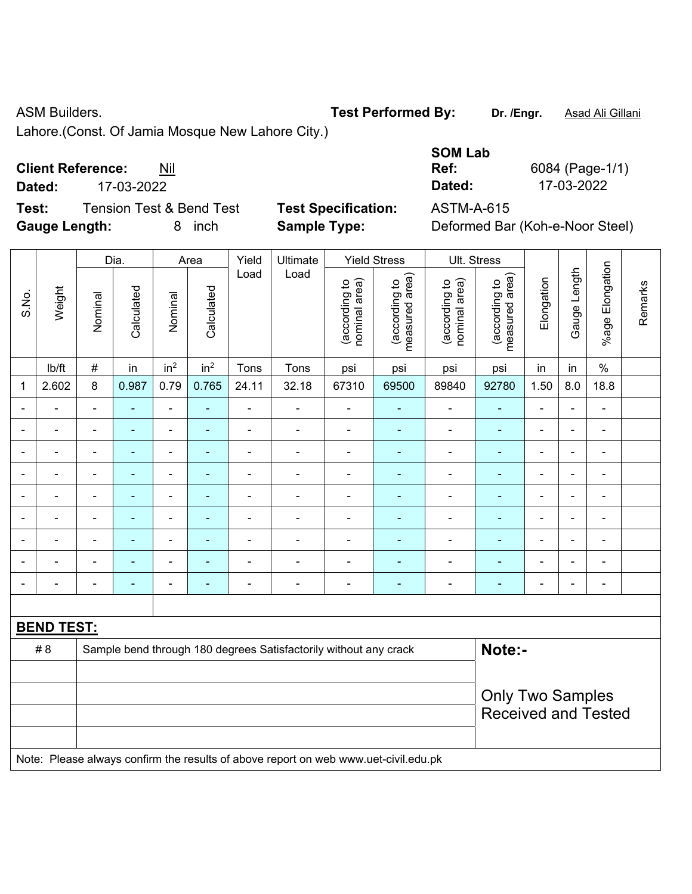Lahore.(Const. Of Jamia Mosque New Lahore City.)

# **Client Reference:** Nil

**Dated:** 17-03-2022 **Dated:** 17-03-2022

**Test:** Tension Test & Bend Test **Test Specification:** ASTM-A-615 **Gauge Length:** 8 inch **Sample Type:** Deformed Bar (Koh-e-Noor Steel)

| <b>SOM Lab</b> |                 |
|----------------|-----------------|
| Ref:           | 6084 (Page-1/1) |
| Dated:         | 17-03-2022      |
| .              |                 |

|                          |                                                                                   | Dia.           |                | Area                         |                 | Yield          | Ultimate                                                                            | <b>Yield Stress</b>            |                                 |                                | Ult. Stress                     |                |                          |                          |         |
|--------------------------|-----------------------------------------------------------------------------------|----------------|----------------|------------------------------|-----------------|----------------|-------------------------------------------------------------------------------------|--------------------------------|---------------------------------|--------------------------------|---------------------------------|----------------|--------------------------|--------------------------|---------|
| S.No.                    | Weight                                                                            | Nominal        | Calculated     | Nominal                      | Calculated      | Load           | Load                                                                                | nominal area)<br>(according to | (according to<br>measured area) | (according to<br>nominal area) | measured area)<br>(according to | Elongation     | Gauge Length             | %age Elongation          | Remarks |
|                          | Ib/ft                                                                             | $\#$           | in             | in <sup>2</sup>              | in <sup>2</sup> | Tons           | Tons                                                                                | psi                            | psi                             | psi                            | psi                             | in             | in                       | $\%$                     |         |
| 1                        | 2.602                                                                             | 8              | 0.987          | 0.79                         | 0.765           | 24.11          | 32.18                                                                               | 67310                          | 69500                           | 89840                          | 92780                           | 1.50           | 8.0                      | 18.8                     |         |
|                          | ÷,                                                                                | $\blacksquare$ | $\blacksquare$ | $\blacksquare$               | ä,              | $\overline{a}$ | $\overline{\phantom{a}}$                                                            | $\blacksquare$                 | $\blacksquare$                  | $\blacksquare$                 | ä,                              | ä,             | ä,                       | $\blacksquare$           |         |
|                          |                                                                                   |                | $\blacksquare$ | $\blacksquare$               | $\blacksquare$  | ä,             | $\blacksquare$                                                                      | ä,                             | $\blacksquare$                  | ä,                             | ۰                               |                |                          | $\blacksquare$           |         |
|                          |                                                                                   |                | -              | ÷                            |                 |                | $\blacksquare$                                                                      | $\blacksquare$                 |                                 | $\overline{a}$                 | $\blacksquare$                  |                |                          |                          |         |
| $\blacksquare$           | ä,                                                                                | $\blacksquare$ | $\blacksquare$ | $\qquad \qquad \blacksquare$ | ۰               | ä,             | $\blacksquare$                                                                      | $\blacksquare$                 | ۰                               | ÷,                             | ٠                               | $\blacksquare$ | $\blacksquare$           | $\blacksquare$           |         |
| $\overline{\phantom{0}}$ | $\blacksquare$                                                                    | $\blacksquare$ | ٠              | $\qquad \qquad \blacksquare$ | ۰               | $\overline{a}$ | $\blacksquare$                                                                      | $\frac{1}{2}$                  | ۰                               | -                              | ۰                               | $\blacksquare$ | $\overline{\phantom{0}}$ | $\overline{\phantom{a}}$ |         |
|                          | $\blacksquare$                                                                    | $\blacksquare$ | $\blacksquare$ | ÷,                           | ۰               | ä,             | $\blacksquare$                                                                      | $\blacksquare$                 | $\blacksquare$                  | ÷,                             | $\blacksquare$                  | $\blacksquare$ | $\blacksquare$           | $\blacksquare$           |         |
|                          |                                                                                   |                | $\blacksquare$ | $\blacksquare$               |                 | $\blacksquare$ | $\blacksquare$                                                                      | $\blacksquare$                 | ÷                               | $\blacksquare$                 | ٠                               |                |                          | $\blacksquare$           |         |
|                          |                                                                                   |                |                | $\blacksquare$               |                 |                |                                                                                     | $\blacksquare$                 |                                 | ÷                              | $\blacksquare$                  |                |                          |                          |         |
| $\blacksquare$           |                                                                                   |                | $\blacksquare$ | $\qquad \qquad \blacksquare$ | ۰               | $\blacksquare$ | $\blacksquare$                                                                      | $\blacksquare$                 | ÷                               | ÷,                             | $\blacksquare$                  | $\blacksquare$ | $\blacksquare$           | $\blacksquare$           |         |
|                          |                                                                                   |                |                |                              |                 |                |                                                                                     |                                |                                 |                                |                                 |                |                          |                          |         |
|                          | <b>BEND TEST:</b>                                                                 |                |                |                              |                 |                |                                                                                     |                                |                                 |                                |                                 |                |                          |                          |         |
|                          | Note:-<br>Sample bend through 180 degrees Satisfactorily without any crack<br># 8 |                |                |                              |                 |                |                                                                                     |                                |                                 |                                |                                 |                |                          |                          |         |
|                          |                                                                                   |                |                |                              |                 |                |                                                                                     |                                |                                 |                                |                                 |                |                          |                          |         |
|                          |                                                                                   |                |                |                              |                 |                |                                                                                     | <b>Only Two Samples</b>        |                                 |                                |                                 |                |                          |                          |         |
|                          |                                                                                   |                |                |                              |                 |                |                                                                                     | <b>Received and Tested</b>     |                                 |                                |                                 |                |                          |                          |         |
|                          |                                                                                   |                |                |                              |                 |                |                                                                                     |                                |                                 |                                |                                 |                |                          |                          |         |
|                          |                                                                                   |                |                |                              |                 |                | Note: Please always confirm the results of above report on web www.uet-civil.edu.pk |                                |                                 |                                |                                 |                |                          |                          |         |

### ASM Builders. **Test Performed By:** Dr. /Engr. **Asad Ali Gillani** ASM Builders.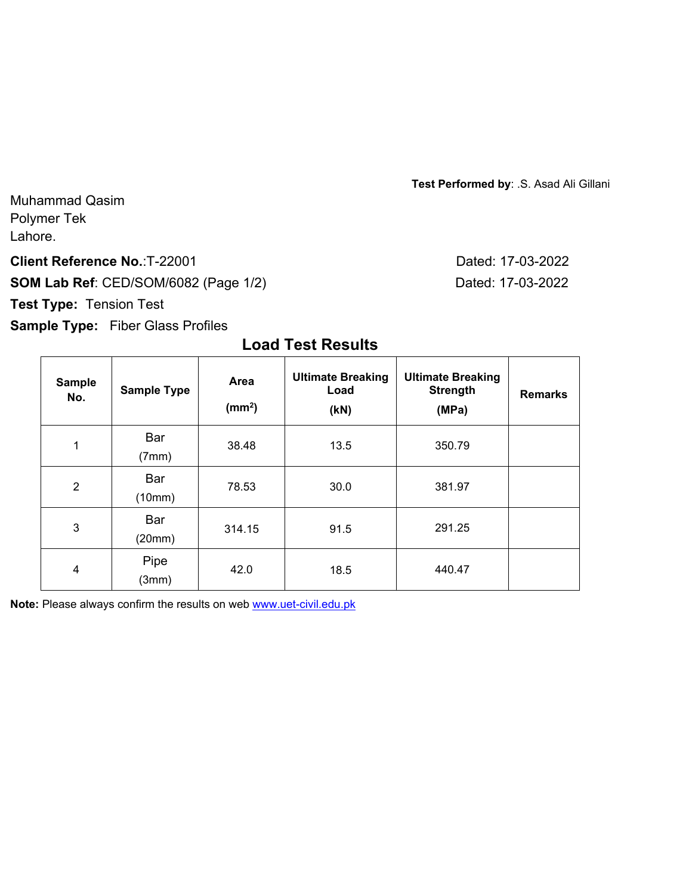**Test Performed by**: .S. Asad Ali Gillani

Muhammad Qasim Polymer Tek Lahore.

#### **Client Reference No.: T-22001 Dated: 17-03-2022**

**SOM Lab Ref**: CED/SOM/6082 (Page 1/2) Dated: 17-03-2022

**Test Type:** Tension Test

**Sample Type:** Fiber Glass Profiles

# **Load Test Results**

| <b>Sample</b><br>No. | <b>Sample Type</b> | Area<br>(mm <sup>2</sup> ) | <b>Ultimate Breaking</b><br>Load<br>(KN) | <b>Ultimate Breaking</b><br><b>Strength</b><br>(MPa) | <b>Remarks</b> |
|----------------------|--------------------|----------------------------|------------------------------------------|------------------------------------------------------|----------------|
| 1                    | Bar<br>(7mm)       | 38.48                      | 13.5                                     | 350.79                                               |                |
| $\overline{2}$       | Bar<br>(10mm)      | 78.53                      | 30.0                                     | 381.97                                               |                |
| $\mathbf{3}$         | Bar<br>(20mm)      | 314.15                     | 91.5                                     | 291.25                                               |                |
| $\overline{4}$       | Pipe<br>(3mm)      | 42.0                       | 18.5                                     | 440.47                                               |                |

**Note:** Please always confirm the results on web www.uet-civil.edu.pk